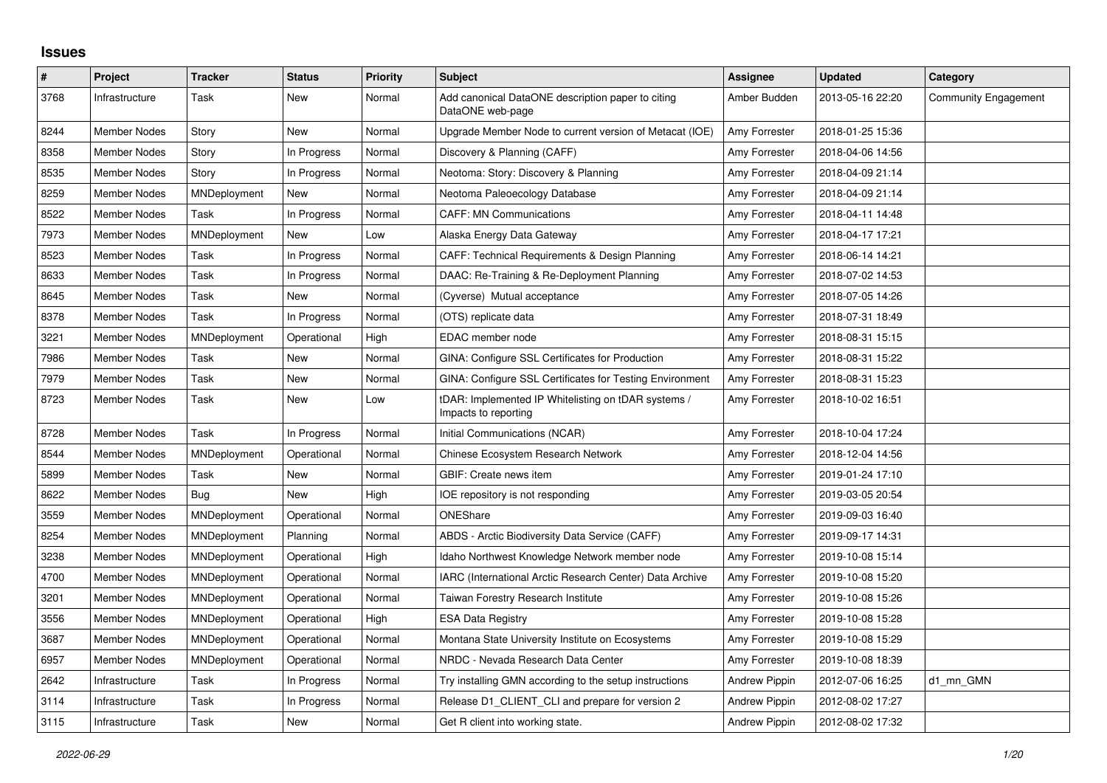## **Issues**

| #    | Project             | <b>Tracker</b>      | <b>Status</b> | <b>Priority</b> | <b>Subject</b>                                                              | Assignee             | <b>Updated</b>   | Category                    |
|------|---------------------|---------------------|---------------|-----------------|-----------------------------------------------------------------------------|----------------------|------------------|-----------------------------|
| 3768 | Infrastructure      | Task                | <b>New</b>    | Normal          | Add canonical DataONE description paper to citing<br>DataONE web-page       | Amber Budden         | 2013-05-16 22:20 | <b>Community Engagement</b> |
| 8244 | <b>Member Nodes</b> | Story               | <b>New</b>    | Normal          | Upgrade Member Node to current version of Metacat (IOE)                     | Amy Forrester        | 2018-01-25 15:36 |                             |
| 8358 | <b>Member Nodes</b> | Story               | In Progress   | Normal          | Discovery & Planning (CAFF)                                                 | Amy Forrester        | 2018-04-06 14:56 |                             |
| 8535 | Member Nodes        | Story               | In Progress   | Normal          | Neotoma: Story: Discovery & Planning                                        | Amy Forrester        | 2018-04-09 21:14 |                             |
| 8259 | Member Nodes        | MNDeployment        | New           | Normal          | Neotoma Paleoecology Database                                               | Amy Forrester        | 2018-04-09 21:14 |                             |
| 8522 | <b>Member Nodes</b> | Task                | In Progress   | Normal          | <b>CAFF: MN Communications</b>                                              | Amy Forrester        | 2018-04-11 14:48 |                             |
| 7973 | Member Nodes        | MNDeployment        | New           | Low             | Alaska Energy Data Gateway                                                  | Amy Forrester        | 2018-04-17 17:21 |                             |
| 8523 | Member Nodes        | Task                | In Progress   | Normal          | CAFF: Technical Requirements & Design Planning                              | Amy Forrester        | 2018-06-14 14:21 |                             |
| 8633 | Member Nodes        | Task                | In Progress   | Normal          | DAAC: Re-Training & Re-Deployment Planning                                  | Amy Forrester        | 2018-07-02 14:53 |                             |
| 8645 | Member Nodes        | Task                | New           | Normal          | (Cyverse) Mutual acceptance                                                 | Amy Forrester        | 2018-07-05 14:26 |                             |
| 8378 | Member Nodes        | Task                | In Progress   | Normal          | (OTS) replicate data                                                        | Amy Forrester        | 2018-07-31 18:49 |                             |
| 3221 | <b>Member Nodes</b> | MNDeployment        | Operational   | High            | EDAC member node                                                            | Amy Forrester        | 2018-08-31 15:15 |                             |
| 7986 | Member Nodes        | Task                | New           | Normal          | GINA: Configure SSL Certificates for Production                             | Amy Forrester        | 2018-08-31 15:22 |                             |
| 7979 | Member Nodes        | Task                | New           | Normal          | GINA: Configure SSL Certificates for Testing Environment                    | Amy Forrester        | 2018-08-31 15:23 |                             |
| 8723 | Member Nodes        | Task                | New           | Low             | tDAR: Implemented IP Whitelisting on tDAR systems /<br>Impacts to reporting | Amy Forrester        | 2018-10-02 16:51 |                             |
| 8728 | Member Nodes        | Task                | In Progress   | Normal          | Initial Communications (NCAR)                                               | Amy Forrester        | 2018-10-04 17:24 |                             |
| 8544 | <b>Member Nodes</b> | MNDeployment        | Operational   | Normal          | Chinese Ecosystem Research Network                                          | Amy Forrester        | 2018-12-04 14:56 |                             |
| 5899 | Member Nodes        | Task                | New           | Normal          | GBIF: Create news item                                                      | Amy Forrester        | 2019-01-24 17:10 |                             |
| 8622 | <b>Member Nodes</b> | Bug                 | <b>New</b>    | High            | IOE repository is not responding                                            | Amy Forrester        | 2019-03-05 20:54 |                             |
| 3559 | <b>Member Nodes</b> | MNDeployment        | Operational   | Normal          | ONEShare                                                                    | Amy Forrester        | 2019-09-03 16:40 |                             |
| 8254 | <b>Member Nodes</b> | MNDeployment        | Planning      | Normal          | ABDS - Arctic Biodiversity Data Service (CAFF)                              | Amy Forrester        | 2019-09-17 14:31 |                             |
| 3238 | <b>Member Nodes</b> | MNDeployment        | Operational   | High            | Idaho Northwest Knowledge Network member node                               | Amy Forrester        | 2019-10-08 15:14 |                             |
| 4700 | Member Nodes        | MNDeployment        | Operational   | Normal          | IARC (International Arctic Research Center) Data Archive                    | Amy Forrester        | 2019-10-08 15:20 |                             |
| 3201 | Member Nodes        | MNDeployment        | Operational   | Normal          | Taiwan Forestry Research Institute                                          | Amy Forrester        | 2019-10-08 15:26 |                             |
| 3556 | Member Nodes        | MNDeployment        | Operational   | High            | <b>ESA Data Registry</b>                                                    | Amy Forrester        | 2019-10-08 15:28 |                             |
| 3687 | <b>Member Nodes</b> | MNDeployment        | Operational   | Normal          | Montana State University Institute on Ecosystems                            | Amy Forrester        | 2019-10-08 15:29 |                             |
| 6957 | Member Nodes        | <b>MNDeployment</b> | Operational   | Normal          | NRDC - Nevada Research Data Center                                          | Amy Forrester        | 2019-10-08 18:39 |                             |
| 2642 | Infrastructure      | Task                | In Progress   | Normal          | Try installing GMN according to the setup instructions                      | <b>Andrew Pippin</b> | 2012-07-06 16:25 | d1_mn_GMN                   |
| 3114 | Infrastructure      | Task                | In Progress   | Normal          | Release D1_CLIENT_CLI and prepare for version 2                             | <b>Andrew Pippin</b> | 2012-08-02 17:27 |                             |
| 3115 | Infrastructure      | Task                | New           | Normal          | Get R client into working state.                                            | <b>Andrew Pippin</b> | 2012-08-02 17:32 |                             |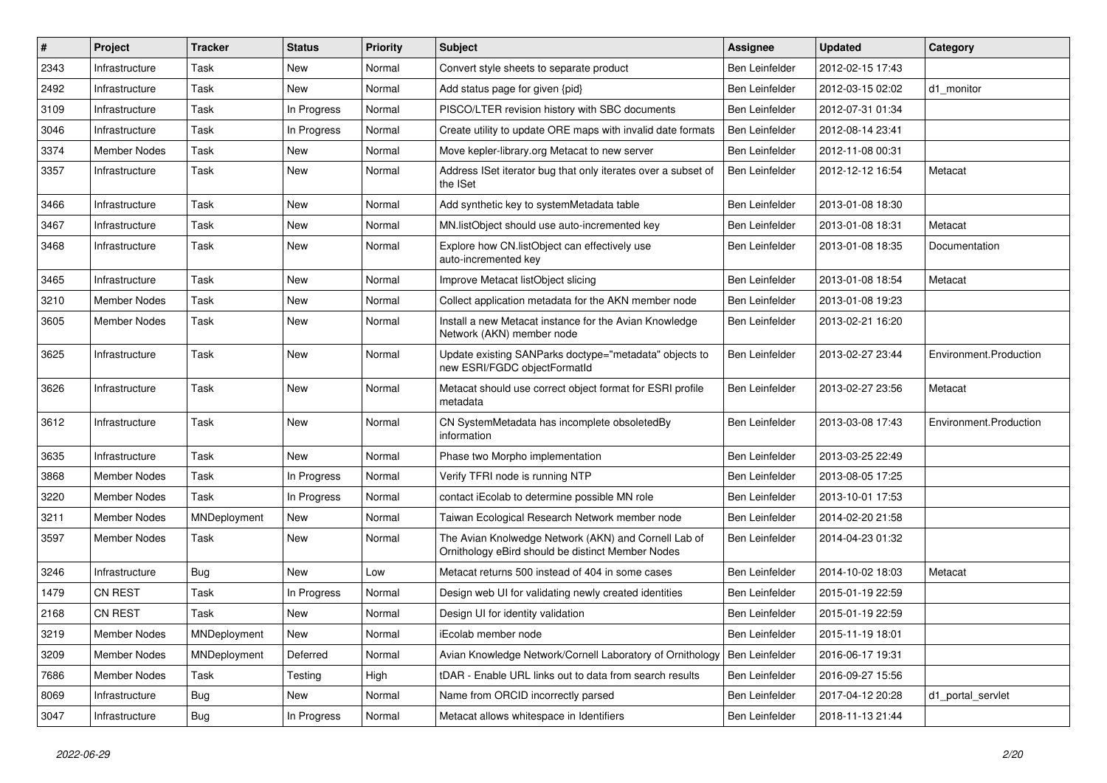| #    | Project             | <b>Tracker</b> | <b>Status</b> | <b>Priority</b> | <b>Subject</b>                                                                                            | Assignee              | <b>Updated</b>   | Category               |
|------|---------------------|----------------|---------------|-----------------|-----------------------------------------------------------------------------------------------------------|-----------------------|------------------|------------------------|
| 2343 | Infrastructure      | Task           | New           | Normal          | Convert style sheets to separate product                                                                  | Ben Leinfelder        | 2012-02-15 17:43 |                        |
| 2492 | Infrastructure      | Task           | New           | Normal          | Add status page for given {pid}                                                                           | Ben Leinfelder        | 2012-03-15 02:02 | d1_monitor             |
| 3109 | Infrastructure      | Task           | In Progress   | Normal          | PISCO/LTER revision history with SBC documents                                                            | Ben Leinfelder        | 2012-07-31 01:34 |                        |
| 3046 | Infrastructure      | Task           | In Progress   | Normal          | Create utility to update ORE maps with invalid date formats                                               | Ben Leinfelder        | 2012-08-14 23:41 |                        |
| 3374 | Member Nodes        | Task           | <b>New</b>    | Normal          | Move kepler-library.org Metacat to new server                                                             | Ben Leinfelder        | 2012-11-08 00:31 |                        |
| 3357 | Infrastructure      | Task           | New           | Normal          | Address ISet iterator bug that only iterates over a subset of<br>the ISet                                 | Ben Leinfelder        | 2012-12-12 16:54 | Metacat                |
| 3466 | Infrastructure      | Task           | New           | Normal          | Add synthetic key to systemMetadata table                                                                 | <b>Ben Leinfelder</b> | 2013-01-08 18:30 |                        |
| 3467 | Infrastructure      | Task           | New           | Normal          | MN.listObject should use auto-incremented key                                                             | <b>Ben Leinfelder</b> | 2013-01-08 18:31 | Metacat                |
| 3468 | Infrastructure      | Task           | New           | Normal          | Explore how CN.listObject can effectively use<br>auto-incremented key                                     | Ben Leinfelder        | 2013-01-08 18:35 | Documentation          |
| 3465 | Infrastructure      | Task           | New           | Normal          | Improve Metacat listObject slicing                                                                        | Ben Leinfelder        | 2013-01-08 18:54 | Metacat                |
| 3210 | Member Nodes        | Task           | New           | Normal          | Collect application metadata for the AKN member node                                                      | Ben Leinfelder        | 2013-01-08 19:23 |                        |
| 3605 | <b>Member Nodes</b> | Task           | New           | Normal          | Install a new Metacat instance for the Avian Knowledge<br>Network (AKN) member node                       | Ben Leinfelder        | 2013-02-21 16:20 |                        |
| 3625 | Infrastructure      | Task           | New           | Normal          | Update existing SANParks doctype="metadata" objects to<br>new ESRI/FGDC objectFormatId                    | Ben Leinfelder        | 2013-02-27 23:44 | Environment.Production |
| 3626 | Infrastructure      | Task           | New           | Normal          | Metacat should use correct object format for ESRI profile<br>metadata                                     | <b>Ben Leinfelder</b> | 2013-02-27 23:56 | Metacat                |
| 3612 | Infrastructure      | Task           | New           | Normal          | CN SystemMetadata has incomplete obsoletedBy<br>information                                               | Ben Leinfelder        | 2013-03-08 17:43 | Environment.Production |
| 3635 | Infrastructure      | Task           | New           | Normal          | Phase two Morpho implementation                                                                           | Ben Leinfelder        | 2013-03-25 22:49 |                        |
| 3868 | Member Nodes        | Task           | In Progress   | Normal          | Verify TFRI node is running NTP                                                                           | Ben Leinfelder        | 2013-08-05 17:25 |                        |
| 3220 | Member Nodes        | Task           | In Progress   | Normal          | contact iEcolab to determine possible MN role                                                             | Ben Leinfelder        | 2013-10-01 17:53 |                        |
| 3211 | Member Nodes        | MNDeployment   | New           | Normal          | Taiwan Ecological Research Network member node                                                            | Ben Leinfelder        | 2014-02-20 21:58 |                        |
| 3597 | Member Nodes        | Task           | New           | Normal          | The Avian Knolwedge Network (AKN) and Cornell Lab of<br>Ornithology eBird should be distinct Member Nodes | Ben Leinfelder        | 2014-04-23 01:32 |                        |
| 3246 | Infrastructure      | <b>Bug</b>     | <b>New</b>    | Low             | Metacat returns 500 instead of 404 in some cases                                                          | Ben Leinfelder        | 2014-10-02 18:03 | Metacat                |
| 1479 | <b>CN REST</b>      | Task           | In Progress   | Normal          | Design web UI for validating newly created identities                                                     | Ben Leinfelder        | 2015-01-19 22:59 |                        |
| 2168 | <b>CN REST</b>      | Task           | New           | Normal          | Design UI for identity validation                                                                         | <b>Ben Leinfelder</b> | 2015-01-19 22:59 |                        |
| 3219 | <b>Member Nodes</b> | MNDeployment   | New           | Normal          | iEcolab member node                                                                                       | Ben Leinfelder        | 2015-11-19 18:01 |                        |
| 3209 | Member Nodes        | MNDeployment   | Deferred      | Normal          | Avian Knowledge Network/Cornell Laboratory of Ornithology                                                 | Ben Leinfelder        | 2016-06-17 19:31 |                        |
| 7686 | Member Nodes        | Task           | Testing       | High            | tDAR - Enable URL links out to data from search results                                                   | Ben Leinfelder        | 2016-09-27 15:56 |                        |
| 8069 | Infrastructure      | Bug            | New           | Normal          | Name from ORCID incorrectly parsed                                                                        | Ben Leinfelder        | 2017-04-12 20:28 | d1 portal servlet      |
| 3047 | Infrastructure      | <b>Bug</b>     | In Progress   | Normal          | Metacat allows whitespace in Identifiers                                                                  | Ben Leinfelder        | 2018-11-13 21:44 |                        |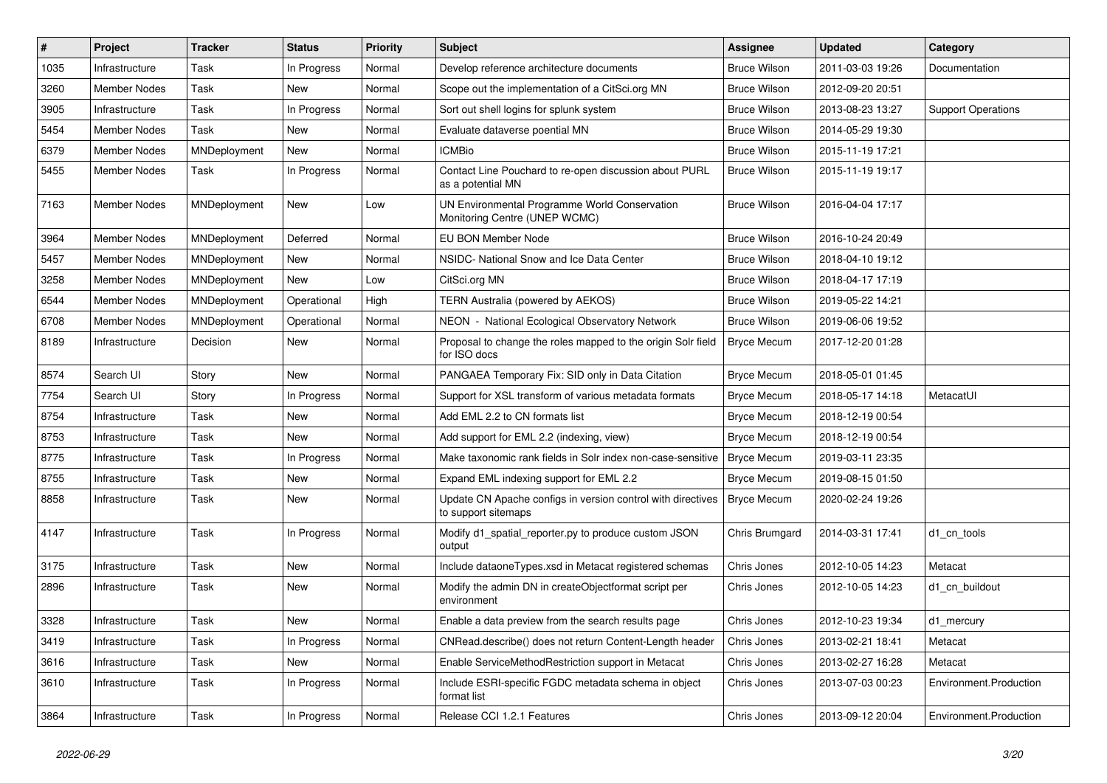| #    | Project             | <b>Tracker</b> | <b>Status</b> | <b>Priority</b> | <b>Subject</b>                                                                     | <b>Assignee</b>     | <b>Updated</b>   | Category                  |
|------|---------------------|----------------|---------------|-----------------|------------------------------------------------------------------------------------|---------------------|------------------|---------------------------|
| 1035 | Infrastructure      | Task           | In Progress   | Normal          | Develop reference architecture documents                                           | <b>Bruce Wilson</b> | 2011-03-03 19:26 | Documentation             |
| 3260 | Member Nodes        | Task           | New           | Normal          | Scope out the implementation of a CitSci.org MN                                    | <b>Bruce Wilson</b> | 2012-09-20 20:51 |                           |
| 3905 | Infrastructure      | Task           | In Progress   | Normal          | Sort out shell logins for splunk system                                            | <b>Bruce Wilson</b> | 2013-08-23 13:27 | <b>Support Operations</b> |
| 5454 | <b>Member Nodes</b> | Task           | New           | Normal          | Evaluate dataverse poential MN                                                     | <b>Bruce Wilson</b> | 2014-05-29 19:30 |                           |
| 6379 | <b>Member Nodes</b> | MNDeployment   | New           | Normal          | <b>ICMBio</b>                                                                      | <b>Bruce Wilson</b> | 2015-11-19 17:21 |                           |
| 5455 | <b>Member Nodes</b> | Task           | In Progress   | Normal          | Contact Line Pouchard to re-open discussion about PURL<br>as a potential MN        | <b>Bruce Wilson</b> | 2015-11-19 19:17 |                           |
| 7163 | <b>Member Nodes</b> | MNDeployment   | New           | Low             | UN Environmental Programme World Conservation<br>Monitoring Centre (UNEP WCMC)     | <b>Bruce Wilson</b> | 2016-04-04 17:17 |                           |
| 3964 | <b>Member Nodes</b> | MNDeployment   | Deferred      | Normal          | EU BON Member Node                                                                 | <b>Bruce Wilson</b> | 2016-10-24 20:49 |                           |
| 5457 | Member Nodes        | MNDeployment   | New           | Normal          | NSIDC- National Snow and Ice Data Center                                           | <b>Bruce Wilson</b> | 2018-04-10 19:12 |                           |
| 3258 | <b>Member Nodes</b> | MNDeployment   | New           | Low             | CitSci.org MN                                                                      | <b>Bruce Wilson</b> | 2018-04-17 17:19 |                           |
| 6544 | <b>Member Nodes</b> | MNDeployment   | Operational   | High            | TERN Australia (powered by AEKOS)                                                  | <b>Bruce Wilson</b> | 2019-05-22 14:21 |                           |
| 6708 | <b>Member Nodes</b> | MNDeployment   | Operational   | Normal          | NEON - National Ecological Observatory Network                                     | <b>Bruce Wilson</b> | 2019-06-06 19:52 |                           |
| 8189 | Infrastructure      | Decision       | New           | Normal          | Proposal to change the roles mapped to the origin Solr field<br>for ISO docs       | <b>Bryce Mecum</b>  | 2017-12-20 01:28 |                           |
| 8574 | Search UI           | Story          | New           | Normal          | PANGAEA Temporary Fix: SID only in Data Citation                                   | <b>Bryce Mecum</b>  | 2018-05-01 01:45 |                           |
| 7754 | Search UI           | Story          | In Progress   | Normal          | Support for XSL transform of various metadata formats                              | <b>Bryce Mecum</b>  | 2018-05-17 14:18 | MetacatUI                 |
| 8754 | Infrastructure      | Task           | New           | Normal          | Add EML 2.2 to CN formats list                                                     | <b>Bryce Mecum</b>  | 2018-12-19 00:54 |                           |
| 8753 | Infrastructure      | Task           | New           | Normal          | Add support for EML 2.2 (indexing, view)                                           | <b>Bryce Mecum</b>  | 2018-12-19 00:54 |                           |
| 8775 | Infrastructure      | Task           | In Progress   | Normal          | Make taxonomic rank fields in Solr index non-case-sensitive                        | <b>Bryce Mecum</b>  | 2019-03-11 23:35 |                           |
| 8755 | Infrastructure      | Task           | New           | Normal          | Expand EML indexing support for EML 2.2                                            | <b>Bryce Mecum</b>  | 2019-08-15 01:50 |                           |
| 8858 | Infrastructure      | Task           | New           | Normal          | Update CN Apache configs in version control with directives<br>to support sitemaps | <b>Bryce Mecum</b>  | 2020-02-24 19:26 |                           |
| 4147 | Infrastructure      | Task           | In Progress   | Normal          | Modify d1_spatial_reporter.py to produce custom JSON<br>output                     | Chris Brumgard      | 2014-03-31 17:41 | d1 cn tools               |
| 3175 | Infrastructure      | Task           | New           | Normal          | Include dataoneTypes.xsd in Metacat registered schemas                             | Chris Jones         | 2012-10-05 14:23 | Metacat                   |
| 2896 | Infrastructure      | Task           | New           | Normal          | Modify the admin DN in createObjectformat script per<br>environment                | Chris Jones         | 2012-10-05 14:23 | d1_cn_buildout            |
| 3328 | Infrastructure      | Task           | New           | Normal          | Enable a data preview from the search results page                                 | Chris Jones         | 2012-10-23 19:34 | d1 mercury                |
| 3419 | Infrastructure      | Task           | In Progress   | Normal          | CNRead.describe() does not return Content-Length header                            | Chris Jones         | 2013-02-21 18:41 | Metacat                   |
| 3616 | Infrastructure      | Task           | New           | Normal          | Enable ServiceMethodRestriction support in Metacat                                 | Chris Jones         | 2013-02-27 16:28 | Metacat                   |
| 3610 | Infrastructure      | Task           | In Progress   | Normal          | Include ESRI-specific FGDC metadata schema in object<br>format list                | Chris Jones         | 2013-07-03 00:23 | Environment.Production    |
| 3864 | Infrastructure      | Task           | In Progress   | Normal          | Release CCI 1.2.1 Features                                                         | Chris Jones         | 2013-09-12 20:04 | Environment.Production    |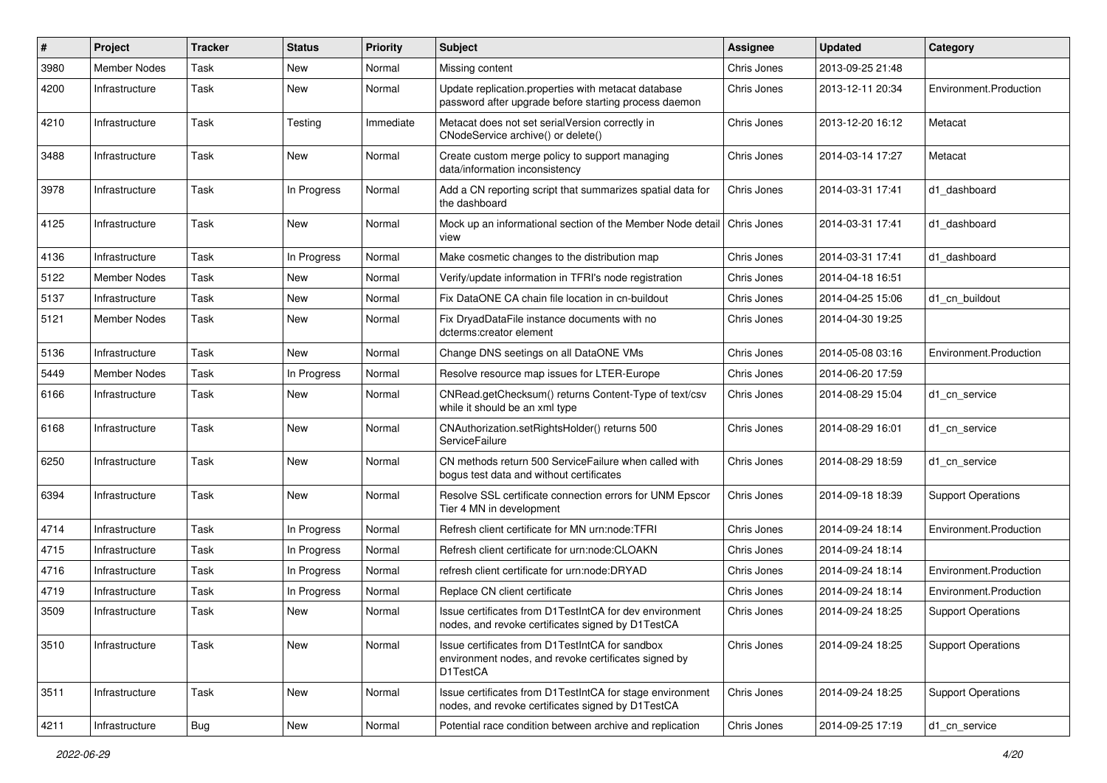| #    | Project             | <b>Tracker</b> | <b>Status</b> | <b>Priority</b> | <b>Subject</b>                                                                                                      | Assignee    | <b>Updated</b>   | Category                  |
|------|---------------------|----------------|---------------|-----------------|---------------------------------------------------------------------------------------------------------------------|-------------|------------------|---------------------------|
| 3980 | <b>Member Nodes</b> | Task           | <b>New</b>    | Normal          | Missing content                                                                                                     | Chris Jones | 2013-09-25 21:48 |                           |
| 4200 | Infrastructure      | Task           | New           | Normal          | Update replication.properties with metacat database<br>password after upgrade before starting process daemon        | Chris Jones | 2013-12-11 20:34 | Environment.Production    |
| 4210 | Infrastructure      | Task           | Testing       | Immediate       | Metacat does not set serialVersion correctly in<br>CNodeService archive() or delete()                               | Chris Jones | 2013-12-20 16:12 | Metacat                   |
| 3488 | Infrastructure      | Task           | New           | Normal          | Create custom merge policy to support managing<br>data/information inconsistency                                    | Chris Jones | 2014-03-14 17:27 | Metacat                   |
| 3978 | Infrastructure      | Task           | In Progress   | Normal          | Add a CN reporting script that summarizes spatial data for<br>the dashboard                                         | Chris Jones | 2014-03-31 17:41 | d1 dashboard              |
| 4125 | Infrastructure      | Task           | <b>New</b>    | Normal          | Mock up an informational section of the Member Node detail<br>view                                                  | Chris Jones | 2014-03-31 17:41 | d1 dashboard              |
| 4136 | Infrastructure      | Task           | In Progress   | Normal          | Make cosmetic changes to the distribution map                                                                       | Chris Jones | 2014-03-31 17:41 | d1 dashboard              |
| 5122 | <b>Member Nodes</b> | Task           | <b>New</b>    | Normal          | Verify/update information in TFRI's node registration                                                               | Chris Jones | 2014-04-18 16:51 |                           |
| 5137 | Infrastructure      | Task           | New           | Normal          | Fix DataONE CA chain file location in cn-buildout                                                                   | Chris Jones | 2014-04-25 15:06 | d1 cn buildout            |
| 5121 | Member Nodes        | Task           | New           | Normal          | Fix DryadDataFile instance documents with no<br>dcterms:creator element                                             | Chris Jones | 2014-04-30 19:25 |                           |
| 5136 | Infrastructure      | Task           | New           | Normal          | Change DNS seetings on all DataONE VMs                                                                              | Chris Jones | 2014-05-08 03:16 | Environment.Production    |
| 5449 | Member Nodes        | Task           | In Progress   | Normal          | Resolve resource map issues for LTER-Europe                                                                         | Chris Jones | 2014-06-20 17:59 |                           |
| 6166 | Infrastructure      | Task           | New           | Normal          | CNRead.getChecksum() returns Content-Type of text/csv<br>while it should be an xml type                             | Chris Jones | 2014-08-29 15:04 | d1_cn_service             |
| 6168 | Infrastructure      | Task           | New           | Normal          | CNAuthorization.setRightsHolder() returns 500<br>ServiceFailure                                                     | Chris Jones | 2014-08-29 16:01 | d1 cn service             |
| 6250 | Infrastructure      | Task           | New           | Normal          | CN methods return 500 Service Failure when called with<br>bogus test data and without certificates                  | Chris Jones | 2014-08-29 18:59 | d1_cn_service             |
| 6394 | Infrastructure      | Task           | New           | Normal          | Resolve SSL certificate connection errors for UNM Epscor<br>Tier 4 MN in development                                | Chris Jones | 2014-09-18 18:39 | <b>Support Operations</b> |
| 4714 | Infrastructure      | Task           | In Progress   | Normal          | Refresh client certificate for MN urn:node:TFRI                                                                     | Chris Jones | 2014-09-24 18:14 | Environment.Production    |
| 4715 | Infrastructure      | Task           | In Progress   | Normal          | Refresh client certificate for urn:node:CLOAKN                                                                      | Chris Jones | 2014-09-24 18:14 |                           |
| 4716 | Infrastructure      | Task           | In Progress   | Normal          | refresh client certificate for urn:node:DRYAD                                                                       | Chris Jones | 2014-09-24 18:14 | Environment.Production    |
| 4719 | Infrastructure      | Task           | In Progress   | Normal          | Replace CN client certificate                                                                                       | Chris Jones | 2014-09-24 18:14 | Environment.Production    |
| 3509 | Infrastructure      | Task           | New           | Normal          | Issue certificates from D1TestIntCA for dev environment<br>nodes, and revoke certificates signed by D1TestCA        | Chris Jones | 2014-09-24 18:25 | <b>Support Operations</b> |
| 3510 | Infrastructure      | Task           | New           | Normal          | Issue certificates from D1TestIntCA for sandbox<br>environment nodes, and revoke certificates signed by<br>D1TestCA | Chris Jones | 2014-09-24 18:25 | <b>Support Operations</b> |
| 3511 | Infrastructure      | Task           | New           | Normal          | Issue certificates from D1TestIntCA for stage environment<br>nodes, and revoke certificates signed by D1TestCA      | Chris Jones | 2014-09-24 18:25 | <b>Support Operations</b> |
| 4211 | Infrastructure      | Bug            | New           | Normal          | Potential race condition between archive and replication                                                            | Chris Jones | 2014-09-25 17:19 | d1 cn service             |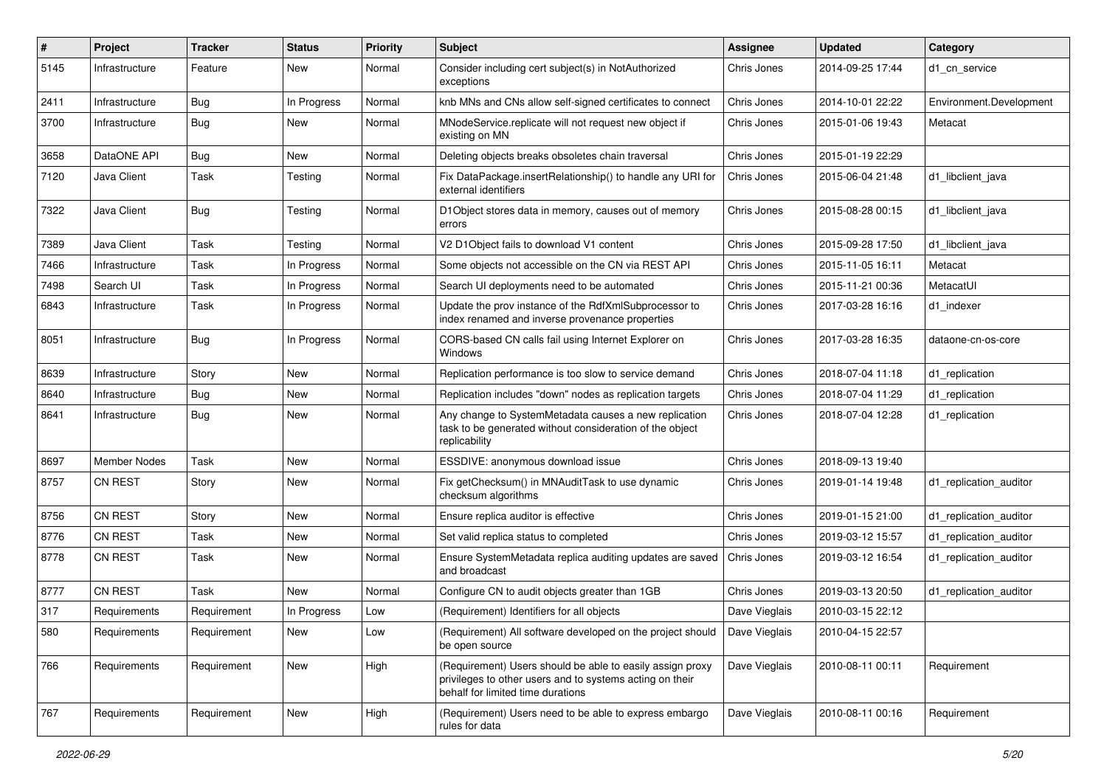| #    | Project             | <b>Tracker</b> | <b>Status</b> | <b>Priority</b> | <b>Subject</b>                                                                                                                                             | <b>Assignee</b> | <b>Updated</b>   | Category                |
|------|---------------------|----------------|---------------|-----------------|------------------------------------------------------------------------------------------------------------------------------------------------------------|-----------------|------------------|-------------------------|
| 5145 | Infrastructure      | Feature        | New           | Normal          | Consider including cert subject(s) in NotAuthorized<br>exceptions                                                                                          | Chris Jones     | 2014-09-25 17:44 | d1 cn service           |
| 2411 | Infrastructure      | <b>Bug</b>     | In Progress   | Normal          | knb MNs and CNs allow self-signed certificates to connect                                                                                                  | Chris Jones     | 2014-10-01 22:22 | Environment.Development |
| 3700 | Infrastructure      | Bug            | New           | Normal          | MNodeService.replicate will not request new object if<br>existing on MN                                                                                    | Chris Jones     | 2015-01-06 19:43 | Metacat                 |
| 3658 | DataONE API         | Bug            | New           | Normal          | Deleting objects breaks obsoletes chain traversal                                                                                                          | Chris Jones     | 2015-01-19 22:29 |                         |
| 7120 | Java Client         | Task           | Testing       | Normal          | Fix DataPackage.insertRelationship() to handle any URI for<br>external identifiers                                                                         | Chris Jones     | 2015-06-04 21:48 | d1 libclient java       |
| 7322 | Java Client         | Bug            | Testing       | Normal          | D1Object stores data in memory, causes out of memory<br>errors                                                                                             | Chris Jones     | 2015-08-28 00:15 | d1 libclient java       |
| 7389 | Java Client         | Task           | Testing       | Normal          | V2 D1Object fails to download V1 content                                                                                                                   | Chris Jones     | 2015-09-28 17:50 | d1 libclient java       |
| 7466 | Infrastructure      | Task           | In Progress   | Normal          | Some objects not accessible on the CN via REST API                                                                                                         | Chris Jones     | 2015-11-05 16:11 | Metacat                 |
| 7498 | Search UI           | Task           | In Progress   | Normal          | Search UI deployments need to be automated                                                                                                                 | Chris Jones     | 2015-11-21 00:36 | MetacatUI               |
| 6843 | Infrastructure      | Task           | In Progress   | Normal          | Update the prov instance of the RdfXmlSubprocessor to<br>index renamed and inverse provenance properties                                                   | Chris Jones     | 2017-03-28 16:16 | d1 indexer              |
| 8051 | Infrastructure      | <b>Bug</b>     | In Progress   | Normal          | CORS-based CN calls fail using Internet Explorer on<br>Windows                                                                                             | Chris Jones     | 2017-03-28 16:35 | dataone-cn-os-core      |
| 8639 | Infrastructure      | Story          | <b>New</b>    | Normal          | Replication performance is too slow to service demand                                                                                                      | Chris Jones     | 2018-07-04 11:18 | d1_replication          |
| 8640 | Infrastructure      | Bug            | New           | Normal          | Replication includes "down" nodes as replication targets                                                                                                   | Chris Jones     | 2018-07-04 11:29 | d1 replication          |
| 8641 | Infrastructure      | Bug            | New           | Normal          | Any change to SystemMetadata causes a new replication<br>task to be generated without consideration of the object<br>replicability                         | Chris Jones     | 2018-07-04 12:28 | d1 replication          |
| 8697 | <b>Member Nodes</b> | Task           | <b>New</b>    | Normal          | ESSDIVE: anonymous download issue                                                                                                                          | Chris Jones     | 2018-09-13 19:40 |                         |
| 8757 | <b>CN REST</b>      | Story          | New           | Normal          | Fix getChecksum() in MNAuditTask to use dynamic<br>checksum algorithms                                                                                     | Chris Jones     | 2019-01-14 19:48 | d1_replication_auditor  |
| 8756 | CN REST             | Story          | <b>New</b>    | Normal          | Ensure replica auditor is effective                                                                                                                        | Chris Jones     | 2019-01-15 21:00 | d1_replication_auditor  |
| 8776 | <b>CN REST</b>      | Task           | New           | Normal          | Set valid replica status to completed                                                                                                                      | Chris Jones     | 2019-03-12 15:57 | d1 replication auditor  |
| 8778 | <b>CN REST</b>      | Task           | New           | Normal          | Ensure SystemMetadata replica auditing updates are saved<br>and broadcast                                                                                  | Chris Jones     | 2019-03-12 16:54 | d1_replication_auditor  |
| 8777 | <b>CN REST</b>      | Task           | New           | Normal          | Configure CN to audit objects greater than 1GB                                                                                                             | Chris Jones     | 2019-03-13 20:50 | d1_replication_auditor  |
| 317  | Requirements        | Requirement    | In Progress   | Low             | (Requirement) Identifiers for all objects                                                                                                                  | Dave Vieglais   | 2010-03-15 22:12 |                         |
| 580  | Requirements        | Requirement    | New           | Low             | (Requirement) All software developed on the project should<br>be open source                                                                               | Dave Vieglais   | 2010-04-15 22:57 |                         |
| 766  | Requirements        | Requirement    | New           | High            | (Requirement) Users should be able to easily assign proxy<br>privileges to other users and to systems acting on their<br>behalf for limited time durations | Dave Vieglais   | 2010-08-11 00:11 | Requirement             |
| 767  | Requirements        | Requirement    | New           | High            | (Requirement) Users need to be able to express embargo<br>rules for data                                                                                   | Dave Vieglais   | 2010-08-11 00:16 | Requirement             |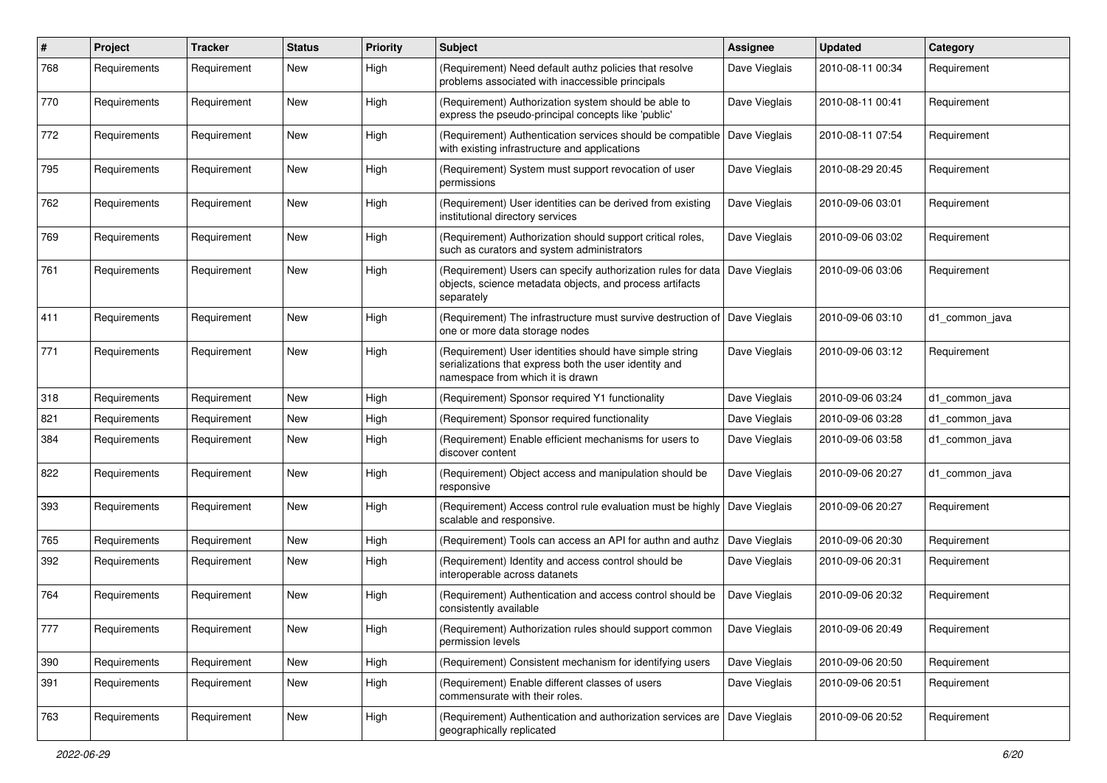| $\#$ | Project      | <b>Tracker</b> | <b>Status</b> | <b>Priority</b> | <b>Subject</b>                                                                                                                                         | <b>Assignee</b> | <b>Updated</b>   | Category       |
|------|--------------|----------------|---------------|-----------------|--------------------------------------------------------------------------------------------------------------------------------------------------------|-----------------|------------------|----------------|
| 768  | Requirements | Requirement    | New           | High            | (Requirement) Need default authz policies that resolve<br>problems associated with inaccessible principals                                             | Dave Vieglais   | 2010-08-11 00:34 | Requirement    |
| 770  | Requirements | Requirement    | New           | High            | (Requirement) Authorization system should be able to<br>express the pseudo-principal concepts like 'public'                                            | Dave Vieglais   | 2010-08-11 00:41 | Requirement    |
| 772  | Requirements | Requirement    | New           | High            | (Requirement) Authentication services should be compatible<br>with existing infrastructure and applications                                            | Dave Vieglais   | 2010-08-11 07:54 | Requirement    |
| 795  | Requirements | Requirement    | New           | High            | (Requirement) System must support revocation of user<br>permissions                                                                                    | Dave Vieglais   | 2010-08-29 20:45 | Requirement    |
| 762  | Requirements | Requirement    | New           | High            | (Requirement) User identities can be derived from existing<br>institutional directory services                                                         | Dave Vieglais   | 2010-09-06 03:01 | Requirement    |
| 769  | Requirements | Requirement    | New           | High            | (Requirement) Authorization should support critical roles,<br>such as curators and system administrators                                               | Dave Vieglais   | 2010-09-06 03:02 | Requirement    |
| 761  | Requirements | Requirement    | New           | High            | (Requirement) Users can specify authorization rules for data   Dave Vieglais<br>objects, science metadata objects, and process artifacts<br>separately |                 | 2010-09-06 03:06 | Requirement    |
| 411  | Requirements | Requirement    | New           | High            | (Requirement) The infrastructure must survive destruction of<br>one or more data storage nodes                                                         | Dave Vieglais   | 2010-09-06 03:10 | d1 common java |
| 771  | Requirements | Requirement    | New           | High            | (Requirement) User identities should have simple string<br>serializations that express both the user identity and<br>namespace from which it is drawn  | Dave Vieglais   | 2010-09-06 03:12 | Requirement    |
| 318  | Requirements | Requirement    | New           | High            | (Requirement) Sponsor required Y1 functionality                                                                                                        | Dave Vieglais   | 2010-09-06 03:24 | d1 common java |
| 821  | Requirements | Requirement    | New           | High            | (Requirement) Sponsor required functionality                                                                                                           | Dave Vieglais   | 2010-09-06 03:28 | d1 common java |
| 384  | Requirements | Requirement    | New           | High            | (Requirement) Enable efficient mechanisms for users to<br>discover content                                                                             | Dave Vieglais   | 2010-09-06 03:58 | d1 common java |
| 822  | Requirements | Requirement    | New           | High            | (Requirement) Object access and manipulation should be<br>responsive                                                                                   | Dave Vieglais   | 2010-09-06 20:27 | d1 common java |
| 393  | Requirements | Requirement    | New           | High            | (Requirement) Access control rule evaluation must be highly<br>scalable and responsive.                                                                | Dave Vieglais   | 2010-09-06 20:27 | Requirement    |
| 765  | Requirements | Requirement    | New           | High            | (Requirement) Tools can access an API for authn and authz                                                                                              | Dave Vieglais   | 2010-09-06 20:30 | Requirement    |
| 392  | Requirements | Requirement    | New           | High            | (Requirement) Identity and access control should be<br>interoperable across datanets                                                                   | Dave Vieglais   | 2010-09-06 20:31 | Requirement    |
| 764  | Requirements | Requirement    | New           | High            | (Requirement) Authentication and access control should be<br>consistently available                                                                    | Dave Vieglais   | 2010-09-06 20:32 | Requirement    |
| 777  | Requirements | Requirement    | New           | High            | (Requirement) Authorization rules should support common<br>permission levels                                                                           | Dave Vieglais   | 2010-09-06 20:49 | Requirement    |
| 390  | Requirements | Requirement    | New           | High            | (Requirement) Consistent mechanism for identifying users                                                                                               | Dave Vieglais   | 2010-09-06 20:50 | Requirement    |
| 391  | Requirements | Requirement    | New           | High            | (Requirement) Enable different classes of users<br>commensurate with their roles.                                                                      | Dave Vieglais   | 2010-09-06 20:51 | Requirement    |
| 763  | Requirements | Requirement    | New           | High            | (Requirement) Authentication and authorization services are<br>geographically replicated                                                               | Dave Vieglais   | 2010-09-06 20:52 | Requirement    |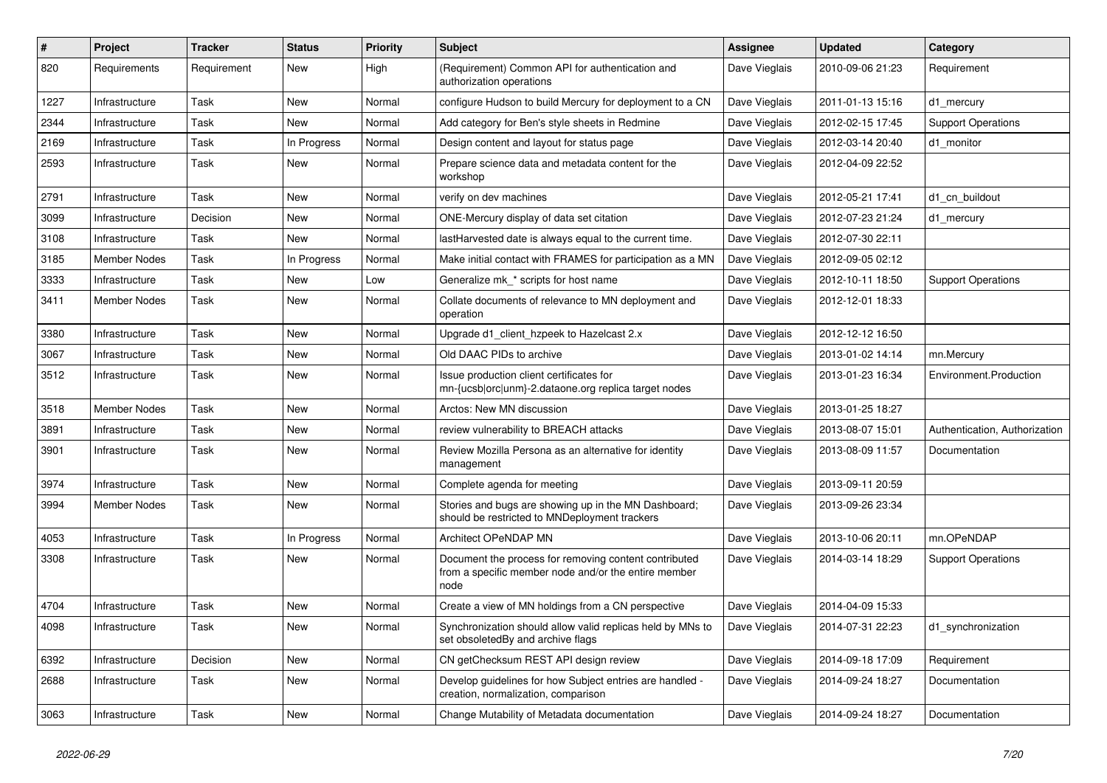| $\#$ | Project             | <b>Tracker</b> | <b>Status</b> | <b>Priority</b> | <b>Subject</b>                                                                                                        | <b>Assignee</b> | <b>Updated</b>   | Category                      |
|------|---------------------|----------------|---------------|-----------------|-----------------------------------------------------------------------------------------------------------------------|-----------------|------------------|-------------------------------|
| 820  | Requirements        | Requirement    | New           | High            | (Requirement) Common API for authentication and<br>authorization operations                                           | Dave Vieglais   | 2010-09-06 21:23 | Requirement                   |
| 1227 | Infrastructure      | Task           | <b>New</b>    | Normal          | configure Hudson to build Mercury for deployment to a CN                                                              | Dave Vieglais   | 2011-01-13 15:16 | d1_mercury                    |
| 2344 | Infrastructure      | Task           | New           | Normal          | Add category for Ben's style sheets in Redmine                                                                        | Dave Vieglais   | 2012-02-15 17:45 | <b>Support Operations</b>     |
| 2169 | Infrastructure      | Task           | In Progress   | Normal          | Design content and layout for status page                                                                             | Dave Vieglais   | 2012-03-14 20:40 | d1_monitor                    |
| 2593 | Infrastructure      | Task           | New           | Normal          | Prepare science data and metadata content for the<br>workshop                                                         | Dave Vieglais   | 2012-04-09 22:52 |                               |
| 2791 | Infrastructure      | Task           | New           | Normal          | verify on dev machines                                                                                                | Dave Vieglais   | 2012-05-21 17:41 | d1 cn buildout                |
| 3099 | Infrastructure      | Decision       | <b>New</b>    | Normal          | ONE-Mercury display of data set citation                                                                              | Dave Vieglais   | 2012-07-23 21:24 | d1 mercury                    |
| 3108 | Infrastructure      | Task           | New           | Normal          | lastHarvested date is always equal to the current time.                                                               | Dave Vieglais   | 2012-07-30 22:11 |                               |
| 3185 | Member Nodes        | Task           | In Progress   | Normal          | Make initial contact with FRAMES for participation as a MN                                                            | Dave Vieglais   | 2012-09-05 02:12 |                               |
| 3333 | Infrastructure      | Task           | New           | Low             | Generalize mk_* scripts for host name                                                                                 | Dave Vieglais   | 2012-10-11 18:50 | <b>Support Operations</b>     |
| 3411 | Member Nodes        | Task           | New           | Normal          | Collate documents of relevance to MN deployment and<br>operation                                                      | Dave Vieglais   | 2012-12-01 18:33 |                               |
| 3380 | Infrastructure      | Task           | <b>New</b>    | Normal          | Upgrade d1_client_hzpeek to Hazelcast 2.x                                                                             | Dave Vieglais   | 2012-12-12 16:50 |                               |
| 3067 | Infrastructure      | Task           | New           | Normal          | Old DAAC PIDs to archive                                                                                              | Dave Vieglais   | 2013-01-02 14:14 | mn.Mercury                    |
| 3512 | Infrastructure      | Task           | <b>New</b>    | Normal          | Issue production client certificates for<br>mn-{ucsb orc unm}-2.dataone.org replica target nodes                      | Dave Vieglais   | 2013-01-23 16:34 | Environment.Production        |
| 3518 | <b>Member Nodes</b> | Task           | <b>New</b>    | Normal          | Arctos: New MN discussion                                                                                             | Dave Vieglais   | 2013-01-25 18:27 |                               |
| 3891 | Infrastructure      | Task           | <b>New</b>    | Normal          | review vulnerability to BREACH attacks                                                                                | Dave Vieglais   | 2013-08-07 15:01 | Authentication, Authorization |
| 3901 | Infrastructure      | Task           | New           | Normal          | Review Mozilla Persona as an alternative for identity<br>management                                                   | Dave Vieglais   | 2013-08-09 11:57 | Documentation                 |
| 3974 | Infrastructure      | Task           | <b>New</b>    | Normal          | Complete agenda for meeting                                                                                           | Dave Vieglais   | 2013-09-11 20:59 |                               |
| 3994 | <b>Member Nodes</b> | Task           | <b>New</b>    | Normal          | Stories and bugs are showing up in the MN Dashboard;<br>should be restricted to MNDeployment trackers                 | Dave Vieglais   | 2013-09-26 23:34 |                               |
| 4053 | Infrastructure      | Task           | In Progress   | Normal          | Architect OPeNDAP MN                                                                                                  | Dave Vieglais   | 2013-10-06 20:11 | mn.OPeNDAP                    |
| 3308 | Infrastructure      | Task           | <b>New</b>    | Normal          | Document the process for removing content contributed<br>from a specific member node and/or the entire member<br>node | Dave Vieglais   | 2014-03-14 18:29 | <b>Support Operations</b>     |
| 4704 | Infrastructure      | Task           | <b>New</b>    | Normal          | Create a view of MN holdings from a CN perspective                                                                    | Dave Vieglais   | 2014-04-09 15:33 |                               |
| 4098 | Infrastructure      | Task           | New           | Normal          | Synchronization should allow valid replicas held by MNs to<br>set obsoleted By and archive flags                      | Dave Vieglais   | 2014-07-31 22:23 | d1 synchronization            |
| 6392 | Infrastructure      | Decision       | <b>New</b>    | Normal          | CN getChecksum REST API design review                                                                                 | Dave Vieglais   | 2014-09-18 17:09 | Requirement                   |
| 2688 | Infrastructure      | Task           | <b>New</b>    | Normal          | Develop guidelines for how Subject entries are handled -<br>creation, normalization, comparison                       | Dave Vieglais   | 2014-09-24 18:27 | Documentation                 |
| 3063 | Infrastructure      | Task           | <b>New</b>    | Normal          | Change Mutability of Metadata documentation                                                                           | Dave Vieglais   | 2014-09-24 18:27 | Documentation                 |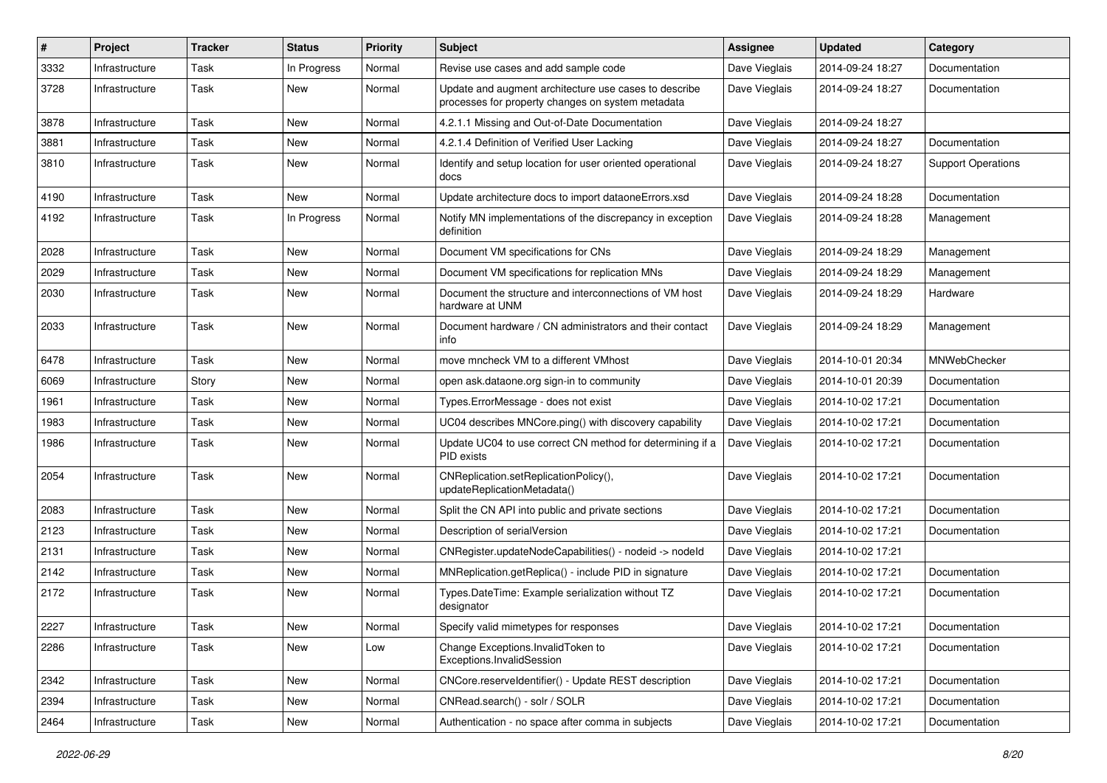| #    | Project        | <b>Tracker</b> | <b>Status</b> | <b>Priority</b> | <b>Subject</b>                                                                                             | Assignee      | <b>Updated</b>   | Category                  |
|------|----------------|----------------|---------------|-----------------|------------------------------------------------------------------------------------------------------------|---------------|------------------|---------------------------|
| 3332 | Infrastructure | Task           | In Progress   | Normal          | Revise use cases and add sample code                                                                       | Dave Vieglais | 2014-09-24 18:27 | Documentation             |
| 3728 | Infrastructure | Task           | New           | Normal          | Update and augment architecture use cases to describe<br>processes for property changes on system metadata | Dave Vieglais | 2014-09-24 18:27 | Documentation             |
| 3878 | Infrastructure | Task           | New           | Normal          | 4.2.1.1 Missing and Out-of-Date Documentation                                                              | Dave Vieglais | 2014-09-24 18:27 |                           |
| 3881 | Infrastructure | Task           | New           | Normal          | 4.2.1.4 Definition of Verified User Lacking                                                                | Dave Vieglais | 2014-09-24 18:27 | Documentation             |
| 3810 | Infrastructure | Task           | New           | Normal          | Identify and setup location for user oriented operational<br>docs                                          | Dave Vieglais | 2014-09-24 18:27 | <b>Support Operations</b> |
| 4190 | Infrastructure | Task           | New           | Normal          | Update architecture docs to import dataoneErrors.xsd                                                       | Dave Vieglais | 2014-09-24 18:28 | Documentation             |
| 4192 | Infrastructure | Task           | In Progress   | Normal          | Notify MN implementations of the discrepancy in exception<br>definition                                    | Dave Vieglais | 2014-09-24 18:28 | Management                |
| 2028 | Infrastructure | Task           | New           | Normal          | Document VM specifications for CNs                                                                         | Dave Vieglais | 2014-09-24 18:29 | Management                |
| 2029 | Infrastructure | Task           | New           | Normal          | Document VM specifications for replication MNs                                                             | Dave Vieglais | 2014-09-24 18:29 | Management                |
| 2030 | Infrastructure | Task           | <b>New</b>    | Normal          | Document the structure and interconnections of VM host<br>hardware at UNM                                  | Dave Vieglais | 2014-09-24 18:29 | Hardware                  |
| 2033 | Infrastructure | Task           | <b>New</b>    | Normal          | Document hardware / CN administrators and their contact<br>info                                            | Dave Vieglais | 2014-09-24 18:29 | Management                |
| 6478 | Infrastructure | Task           | New           | Normal          | move mncheck VM to a different VMhost                                                                      | Dave Vieglais | 2014-10-01 20:34 | MNWebChecker              |
| 6069 | Infrastructure | Story          | New           | Normal          | open ask.dataone.org sign-in to community                                                                  | Dave Vieglais | 2014-10-01 20:39 | Documentation             |
| 1961 | Infrastructure | Task           | New           | Normal          | Types.ErrorMessage - does not exist                                                                        | Dave Vieglais | 2014-10-02 17:21 | Documentation             |
| 1983 | Infrastructure | Task           | New           | Normal          | UC04 describes MNCore.ping() with discovery capability                                                     | Dave Vieglais | 2014-10-02 17:21 | Documentation             |
| 1986 | Infrastructure | Task           | <b>New</b>    | Normal          | Update UC04 to use correct CN method for determining if a<br>PID exists                                    | Dave Vieglais | 2014-10-02 17:21 | Documentation             |
| 2054 | Infrastructure | Task           | New           | Normal          | CNReplication.setReplicationPolicy(),<br>updateReplicationMetadata()                                       | Dave Vieglais | 2014-10-02 17:21 | Documentation             |
| 2083 | Infrastructure | Task           | <b>New</b>    | Normal          | Split the CN API into public and private sections                                                          | Dave Vieglais | 2014-10-02 17:21 | Documentation             |
| 2123 | Infrastructure | Task           | New           | Normal          | Description of serialVersion                                                                               | Dave Vieglais | 2014-10-02 17:21 | Documentation             |
| 2131 | Infrastructure | Task           | New           | Normal          | CNRegister.updateNodeCapabilities() - nodeid -> nodeld                                                     | Dave Vieglais | 2014-10-02 17:21 |                           |
| 2142 | Infrastructure | Task           | New           | Normal          | MNReplication.getReplica() - include PID in signature                                                      | Dave Vieglais | 2014-10-02 17:21 | Documentation             |
| 2172 | Infrastructure | Task           | New           | Normal          | Types.DateTime: Example serialization without TZ<br>designator                                             | Dave Vieglais | 2014-10-02 17:21 | Documentation             |
| 2227 | Infrastructure | Task           | New           | Normal          | Specify valid mimetypes for responses                                                                      | Dave Vieglais | 2014-10-02 17:21 | Documentation             |
| 2286 | Infrastructure | Task           | New           | Low             | Change Exceptions.InvalidToken to<br>Exceptions.InvalidSession                                             | Dave Vieglais | 2014-10-02 17:21 | Documentation             |
| 2342 | Infrastructure | Task           | New           | Normal          | CNCore.reserveldentifier() - Update REST description                                                       | Dave Vieglais | 2014-10-02 17:21 | Documentation             |
| 2394 | Infrastructure | Task           | New           | Normal          | CNRead.search() - solr / SOLR                                                                              | Dave Vieglais | 2014-10-02 17:21 | Documentation             |
| 2464 | Infrastructure | Task           | New           | Normal          | Authentication - no space after comma in subjects                                                          | Dave Vieglais | 2014-10-02 17:21 | Documentation             |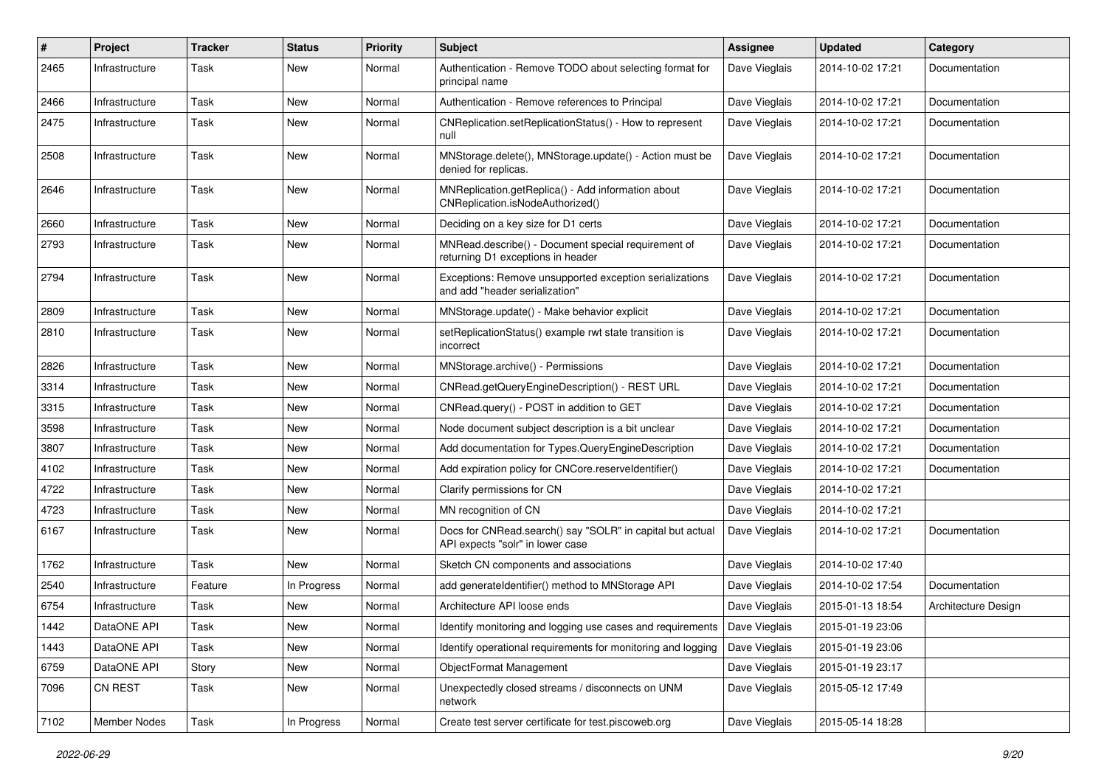| #    | Project        | <b>Tracker</b> | <b>Status</b> | <b>Priority</b> | <b>Subject</b>                                                                                | <b>Assignee</b> | <b>Updated</b>   | Category            |
|------|----------------|----------------|---------------|-----------------|-----------------------------------------------------------------------------------------------|-----------------|------------------|---------------------|
| 2465 | Infrastructure | Task           | New           | Normal          | Authentication - Remove TODO about selecting format for<br>principal name                     | Dave Vieglais   | 2014-10-02 17:21 | Documentation       |
| 2466 | Infrastructure | Task           | <b>New</b>    | Normal          | Authentication - Remove references to Principal                                               | Dave Vieglais   | 2014-10-02 17:21 | Documentation       |
| 2475 | Infrastructure | Task           | New           | Normal          | CNReplication.setReplicationStatus() - How to represent<br>null                               | Dave Vieglais   | 2014-10-02 17:21 | Documentation       |
| 2508 | Infrastructure | Task           | <b>New</b>    | Normal          | MNStorage.delete(), MNStorage.update() - Action must be<br>denied for replicas.               | Dave Vieglais   | 2014-10-02 17:21 | Documentation       |
| 2646 | Infrastructure | Task           | New           | Normal          | MNReplication.getReplica() - Add information about<br>CNReplication.isNodeAuthorized()        | Dave Vieglais   | 2014-10-02 17:21 | Documentation       |
| 2660 | Infrastructure | Task           | <b>New</b>    | Normal          | Deciding on a key size for D1 certs                                                           | Dave Vieglais   | 2014-10-02 17:21 | Documentation       |
| 2793 | Infrastructure | Task           | <b>New</b>    | Normal          | MNRead.describe() - Document special requirement of<br>returning D1 exceptions in header      | Dave Vieglais   | 2014-10-02 17:21 | Documentation       |
| 2794 | Infrastructure | Task           | New           | Normal          | Exceptions: Remove unsupported exception serializations<br>and add "header serialization"     | Dave Vieglais   | 2014-10-02 17:21 | Documentation       |
| 2809 | Infrastructure | Task           | <b>New</b>    | Normal          | MNStorage.update() - Make behavior explicit                                                   | Dave Vieglais   | 2014-10-02 17:21 | Documentation       |
| 2810 | Infrastructure | Task           | New           | Normal          | setReplicationStatus() example rwt state transition is<br>incorrect                           | Dave Vieglais   | 2014-10-02 17:21 | Documentation       |
| 2826 | Infrastructure | Task           | <b>New</b>    | Normal          | MNStorage.archive() - Permissions                                                             | Dave Vieglais   | 2014-10-02 17:21 | Documentation       |
| 3314 | Infrastructure | Task           | New           | Normal          | CNRead.getQueryEngineDescription() - REST URL                                                 | Dave Vieglais   | 2014-10-02 17:21 | Documentation       |
| 3315 | Infrastructure | Task           | New           | Normal          | CNRead.query() - POST in addition to GET                                                      | Dave Vieglais   | 2014-10-02 17:21 | Documentation       |
| 3598 | Infrastructure | Task           | New           | Normal          | Node document subject description is a bit unclear                                            | Dave Vieglais   | 2014-10-02 17:21 | Documentation       |
| 3807 | Infrastructure | Task           | <b>New</b>    | Normal          | Add documentation for Types.QueryEngineDescription                                            | Dave Vieglais   | 2014-10-02 17:21 | Documentation       |
| 4102 | Infrastructure | Task           | New           | Normal          | Add expiration policy for CNCore.reserveldentifier()                                          | Dave Vieglais   | 2014-10-02 17:21 | Documentation       |
| 4722 | Infrastructure | Task           | New           | Normal          | Clarify permissions for CN                                                                    | Dave Vieglais   | 2014-10-02 17:21 |                     |
| 4723 | Infrastructure | Task           | New           | Normal          | MN recognition of CN                                                                          | Dave Vieglais   | 2014-10-02 17:21 |                     |
| 6167 | Infrastructure | Task           | <b>New</b>    | Normal          | Docs for CNRead.search() say "SOLR" in capital but actual<br>API expects "solr" in lower case | Dave Vieglais   | 2014-10-02 17:21 | Documentation       |
| 1762 | Infrastructure | Task           | New           | Normal          | Sketch CN components and associations                                                         | Dave Vieglais   | 2014-10-02 17:40 |                     |
| 2540 | Infrastructure | Feature        | In Progress   | Normal          | add generateIdentifier() method to MNStorage API                                              | Dave Vieglais   | 2014-10-02 17:54 | Documentation       |
| 6754 | Infrastructure | Task           | New           | Normal          | Architecture API loose ends                                                                   | Dave Vieglais   | 2015-01-13 18:54 | Architecture Design |
| 1442 | DataONE API    | Task           | New           | Normal          | Identify monitoring and logging use cases and requirements   Dave Vieglais                    |                 | 2015-01-19 23:06 |                     |
| 1443 | DataONE API    | Task           | New           | Normal          | Identify operational requirements for monitoring and logging                                  | Dave Vieglais   | 2015-01-19 23:06 |                     |
| 6759 | DataONE API    | Story          | New           | Normal          | ObjectFormat Management                                                                       | Dave Vieglais   | 2015-01-19 23:17 |                     |
| 7096 | CN REST        | Task           | New           | Normal          | Unexpectedly closed streams / disconnects on UNM<br>network                                   | Dave Vieglais   | 2015-05-12 17:49 |                     |
| 7102 | Member Nodes   | Task           | In Progress   | Normal          | Create test server certificate for test piscoweb org                                          | Dave Vieglais   | 2015-05-14 18:28 |                     |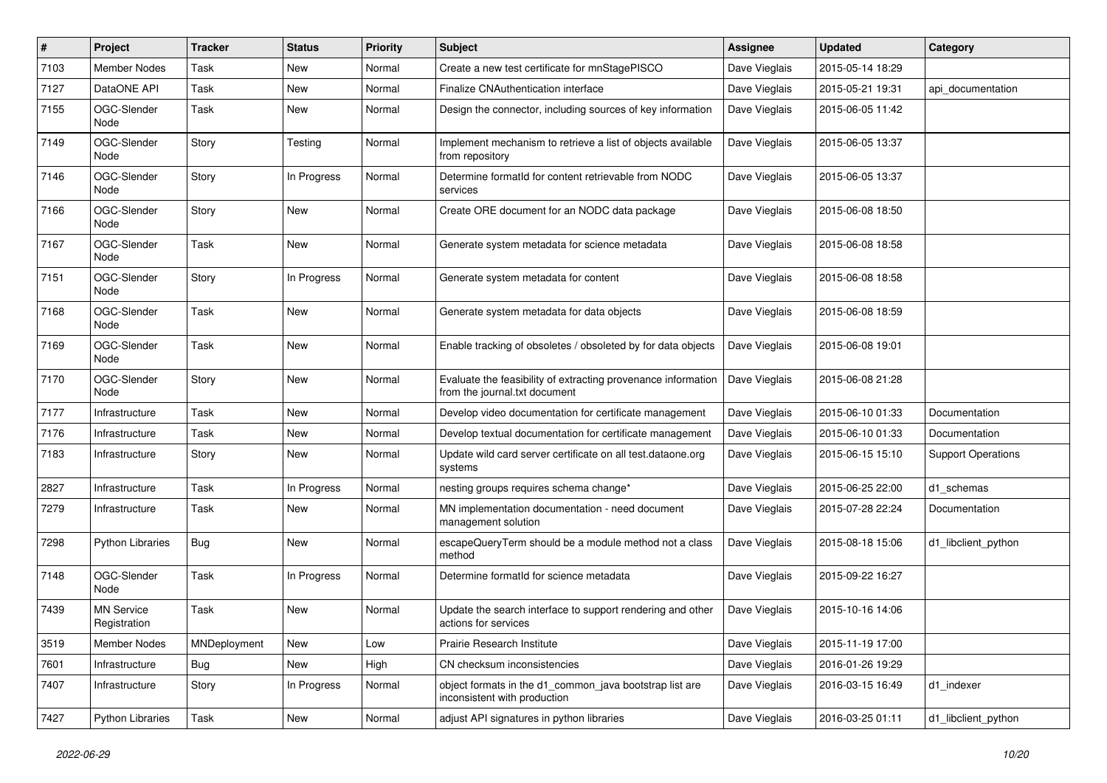| #    | Project                           | <b>Tracker</b> | <b>Status</b> | <b>Priority</b> | Subject                                                                                        | Assignee      | <b>Updated</b>   | Category                  |
|------|-----------------------------------|----------------|---------------|-----------------|------------------------------------------------------------------------------------------------|---------------|------------------|---------------------------|
| 7103 | <b>Member Nodes</b>               | Task           | <b>New</b>    | Normal          | Create a new test certificate for mnStagePISCO                                                 | Dave Vieglais | 2015-05-14 18:29 |                           |
| 7127 | DataONE API                       | Task           | New           | Normal          | <b>Finalize CNAuthentication interface</b>                                                     | Dave Vieglais | 2015-05-21 19:31 | api documentation         |
| 7155 | OGC-Slender<br>Node               | Task           | New           | Normal          | Design the connector, including sources of key information                                     | Dave Vieglais | 2015-06-05 11:42 |                           |
| 7149 | OGC-Slender<br>Node               | Story          | Testing       | Normal          | Implement mechanism to retrieve a list of objects available<br>from repository                 | Dave Vieglais | 2015-06-05 13:37 |                           |
| 7146 | OGC-Slender<br>Node               | Story          | In Progress   | Normal          | Determine formatId for content retrievable from NODC<br>services                               | Dave Vieglais | 2015-06-05 13:37 |                           |
| 7166 | OGC-Slender<br>Node               | Story          | New           | Normal          | Create ORE document for an NODC data package                                                   | Dave Vieglais | 2015-06-08 18:50 |                           |
| 7167 | OGC-Slender<br>Node               | Task           | New           | Normal          | Generate system metadata for science metadata                                                  | Dave Vieglais | 2015-06-08 18:58 |                           |
| 7151 | OGC-Slender<br>Node               | Story          | In Progress   | Normal          | Generate system metadata for content                                                           | Dave Vieglais | 2015-06-08 18:58 |                           |
| 7168 | OGC-Slender<br>Node               | Task           | New           | Normal          | Generate system metadata for data objects                                                      | Dave Vieglais | 2015-06-08 18:59 |                           |
| 7169 | OGC-Slender<br>Node               | Task           | New           | Normal          | Enable tracking of obsoletes / obsoleted by for data objects                                   | Dave Vieglais | 2015-06-08 19:01 |                           |
| 7170 | OGC-Slender<br>Node               | Story          | New           | Normal          | Evaluate the feasibility of extracting provenance information<br>from the journal.txt document | Dave Vieglais | 2015-06-08 21:28 |                           |
| 7177 | Infrastructure                    | Task           | New           | Normal          | Develop video documentation for certificate management                                         | Dave Vieglais | 2015-06-10 01:33 | Documentation             |
| 7176 | Infrastructure                    | Task           | New           | Normal          | Develop textual documentation for certificate management                                       | Dave Vieglais | 2015-06-10 01:33 | Documentation             |
| 7183 | Infrastructure                    | Story          | New           | Normal          | Update wild card server certificate on all test.dataone.org<br>systems                         | Dave Vieglais | 2015-06-15 15:10 | <b>Support Operations</b> |
| 2827 | Infrastructure                    | Task           | In Progress   | Normal          | nesting groups requires schema change*                                                         | Dave Vieglais | 2015-06-25 22:00 | d1_schemas                |
| 7279 | Infrastructure                    | Task           | New           | Normal          | MN implementation documentation - need document<br>management solution                         | Dave Vieglais | 2015-07-28 22:24 | Documentation             |
| 7298 | Python Libraries                  | Bug            | New           | Normal          | escapeQueryTerm should be a module method not a class<br>method                                | Dave Vieglais | 2015-08-18 15:06 | d1_libclient_python       |
| 7148 | OGC-Slender<br>Node               | Task           | In Progress   | Normal          | Determine formatId for science metadata                                                        | Dave Vieglais | 2015-09-22 16:27 |                           |
| 7439 | <b>MN Service</b><br>Registration | Task           | New           | Normal          | Update the search interface to support rendering and other<br>actions for services             | Dave Vieglais | 2015-10-16 14:06 |                           |
| 3519 | <b>Member Nodes</b>               | MNDeployment   | New           | Low             | Prairie Research Institute                                                                     | Dave Vieglais | 2015-11-19 17:00 |                           |
| 7601 | Infrastructure                    | Bug            | New           | High            | CN checksum inconsistencies                                                                    | Dave Vieglais | 2016-01-26 19:29 |                           |
| 7407 | Infrastructure                    | Story          | In Progress   | Normal          | object formats in the d1_common_java bootstrap list are<br>inconsistent with production        | Dave Vieglais | 2016-03-15 16:49 | d1_indexer                |
| 7427 | Python Libraries                  | Task           | New           | Normal          | adjust API signatures in python libraries                                                      | Dave Vieglais | 2016-03-25 01:11 | d1_libclient_python       |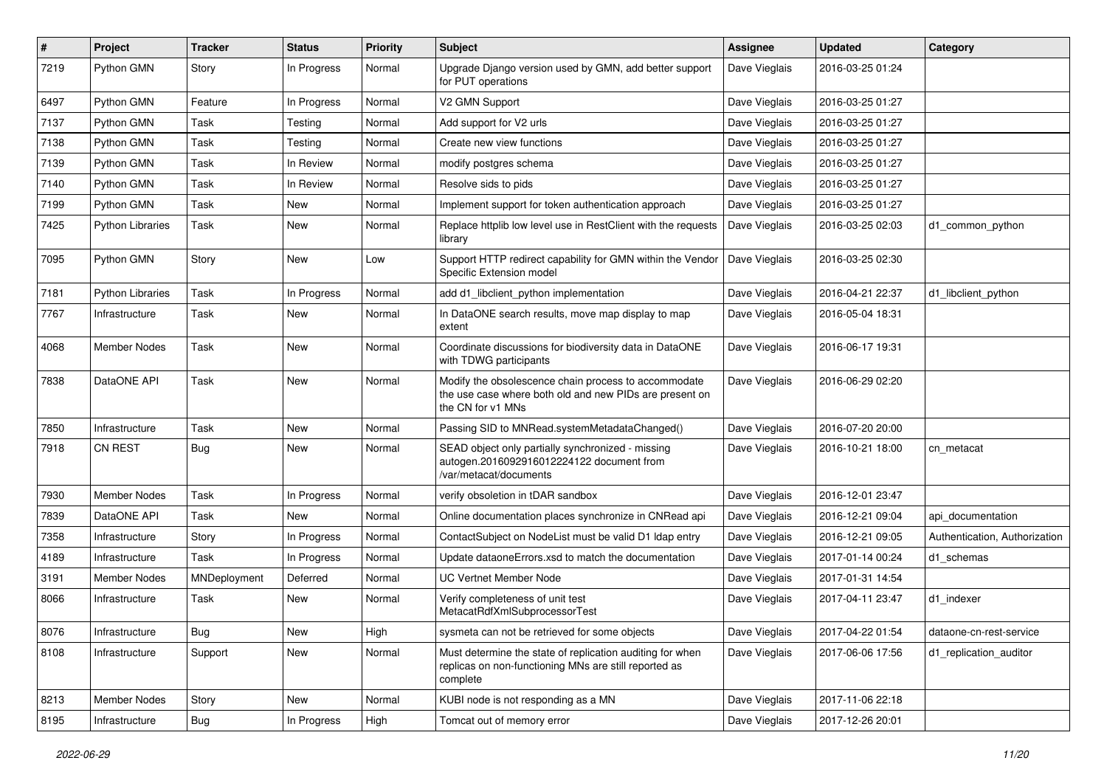| #    | Project                 | <b>Tracker</b> | <b>Status</b> | <b>Priority</b> | Subject                                                                                                                              | Assignee      | <b>Updated</b>   | Category                      |
|------|-------------------------|----------------|---------------|-----------------|--------------------------------------------------------------------------------------------------------------------------------------|---------------|------------------|-------------------------------|
| 7219 | Python GMN              | Story          | In Progress   | Normal          | Upgrade Django version used by GMN, add better support<br>for PUT operations                                                         | Dave Vieglais | 2016-03-25 01:24 |                               |
| 6497 | Python GMN              | Feature        | In Progress   | Normal          | V2 GMN Support                                                                                                                       | Dave Vieglais | 2016-03-25 01:27 |                               |
| 7137 | Python GMN              | Task           | Testing       | Normal          | Add support for V2 urls                                                                                                              | Dave Vieglais | 2016-03-25 01:27 |                               |
| 7138 | Python GMN              | Task           | Testing       | Normal          | Create new view functions                                                                                                            | Dave Vieglais | 2016-03-25 01:27 |                               |
| 7139 | Python GMN              | Task           | In Review     | Normal          | modify postgres schema                                                                                                               | Dave Vieglais | 2016-03-25 01:27 |                               |
| 7140 | Python GMN              | Task           | In Review     | Normal          | Resolve sids to pids                                                                                                                 | Dave Vieglais | 2016-03-25 01:27 |                               |
| 7199 | Python GMN              | Task           | New           | Normal          | Implement support for token authentication approach                                                                                  | Dave Vieglais | 2016-03-25 01:27 |                               |
| 7425 | <b>Python Libraries</b> | Task           | New           | Normal          | Replace httplib low level use in RestClient with the requests<br>library                                                             | Dave Vieglais | 2016-03-25 02:03 | d1 common python              |
| 7095 | Python GMN              | Story          | New           | Low             | Support HTTP redirect capability for GMN within the Vendor<br>Specific Extension model                                               | Dave Vieglais | 2016-03-25 02:30 |                               |
| 7181 | Python Libraries        | Task           | In Progress   | Normal          | add d1_libclient_python implementation                                                                                               | Dave Vieglais | 2016-04-21 22:37 | d1_libclient_python           |
| 7767 | Infrastructure          | Task           | New           | Normal          | In DataONE search results, move map display to map<br>extent                                                                         | Dave Vieglais | 2016-05-04 18:31 |                               |
| 4068 | Member Nodes            | Task           | New           | Normal          | Coordinate discussions for biodiversity data in DataONE<br>with TDWG participants                                                    | Dave Vieglais | 2016-06-17 19:31 |                               |
| 7838 | DataONE API             | Task           | New           | Normal          | Modify the obsolescence chain process to accommodate<br>the use case where both old and new PIDs are present on<br>the CN for v1 MNs | Dave Vieglais | 2016-06-29 02:20 |                               |
| 7850 | Infrastructure          | Task           | New           | Normal          | Passing SID to MNRead.systemMetadataChanged()                                                                                        | Dave Vieglais | 2016-07-20 20:00 |                               |
| 7918 | <b>CN REST</b>          | <b>Bug</b>     | New           | Normal          | SEAD object only partially synchronized - missing<br>autogen.2016092916012224122 document from<br>/var/metacat/documents             | Dave Vieglais | 2016-10-21 18:00 | cn_metacat                    |
| 7930 | <b>Member Nodes</b>     | Task           | In Progress   | Normal          | verify obsoletion in tDAR sandbox                                                                                                    | Dave Vieglais | 2016-12-01 23:47 |                               |
| 7839 | DataONE API             | Task           | New           | Normal          | Online documentation places synchronize in CNRead api                                                                                | Dave Vieglais | 2016-12-21 09:04 | api documentation             |
| 7358 | Infrastructure          | Story          | In Progress   | Normal          | ContactSubject on NodeList must be valid D1 Idap entry                                                                               | Dave Vieglais | 2016-12-21 09:05 | Authentication, Authorization |
| 4189 | Infrastructure          | Task           | In Progress   | Normal          | Update dataoneErrors.xsd to match the documentation                                                                                  | Dave Vieglais | 2017-01-14 00:24 | d1_schemas                    |
| 3191 | Member Nodes            | MNDeployment   | Deferred      | Normal          | <b>UC Vertnet Member Node</b>                                                                                                        | Dave Vieglais | 2017-01-31 14:54 |                               |
| 8066 | Infrastructure          | Task           | New           | Normal          | Verify completeness of unit test<br>MetacatRdfXmlSubprocessorTest                                                                    | Dave Vieglais | 2017-04-11 23:47 | d1_indexer                    |
| 8076 | Infrastructure          | <b>Bug</b>     | New           | High            | sysmeta can not be retrieved for some objects                                                                                        | Dave Vieglais | 2017-04-22 01:54 | dataone-cn-rest-service       |
| 8108 | Infrastructure          | Support        | New           | Normal          | Must determine the state of replication auditing for when<br>replicas on non-functioning MNs are still reported as<br>complete       | Dave Vieglais | 2017-06-06 17:56 | d1 replication auditor        |
| 8213 | Member Nodes            | Story          | New           | Normal          | KUBI node is not responding as a MN                                                                                                  | Dave Vieglais | 2017-11-06 22:18 |                               |
| 8195 | Infrastructure          | <b>Bug</b>     | In Progress   | High            | Tomcat out of memory error                                                                                                           | Dave Vieglais | 2017-12-26 20:01 |                               |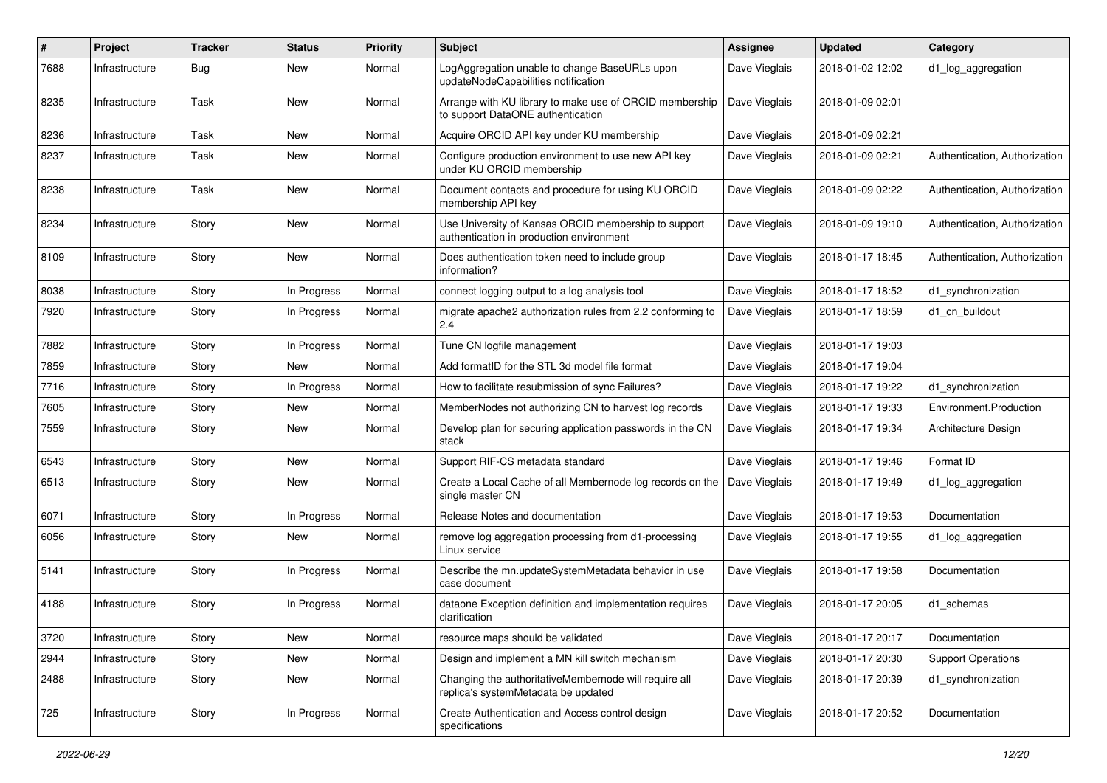| #    | Project        | <b>Tracker</b> | <b>Status</b> | <b>Priority</b> | <b>Subject</b>                                                                                   | Assignee      | <b>Updated</b>   | Category                      |
|------|----------------|----------------|---------------|-----------------|--------------------------------------------------------------------------------------------------|---------------|------------------|-------------------------------|
| 7688 | Infrastructure | <b>Bug</b>     | New           | Normal          | LogAggregation unable to change BaseURLs upon<br>updateNodeCapabilities notification             | Dave Vieglais | 2018-01-02 12:02 | d1_log_aggregation            |
| 8235 | Infrastructure | Task           | New           | Normal          | Arrange with KU library to make use of ORCID membership<br>to support DataONE authentication     | Dave Vieglais | 2018-01-09 02:01 |                               |
| 8236 | Infrastructure | Task           | <b>New</b>    | Normal          | Acquire ORCID API key under KU membership                                                        | Dave Vieglais | 2018-01-09 02:21 |                               |
| 8237 | Infrastructure | Task           | New           | Normal          | Configure production environment to use new API key<br>under KU ORCID membership                 | Dave Vieglais | 2018-01-09 02:21 | Authentication, Authorization |
| 8238 | Infrastructure | Task           | New           | Normal          | Document contacts and procedure for using KU ORCID<br>membership API key                         | Dave Vieglais | 2018-01-09 02:22 | Authentication, Authorization |
| 8234 | Infrastructure | Story          | New           | Normal          | Use University of Kansas ORCID membership to support<br>authentication in production environment | Dave Vieglais | 2018-01-09 19:10 | Authentication, Authorization |
| 8109 | Infrastructure | Story          | New           | Normal          | Does authentication token need to include group<br>information?                                  | Dave Vieglais | 2018-01-17 18:45 | Authentication, Authorization |
| 8038 | Infrastructure | Story          | In Progress   | Normal          | connect logging output to a log analysis tool                                                    | Dave Vieglais | 2018-01-17 18:52 | d1 synchronization            |
| 7920 | Infrastructure | Story          | In Progress   | Normal          | migrate apache2 authorization rules from 2.2 conforming to<br>2.4                                | Dave Vieglais | 2018-01-17 18:59 | d1 cn buildout                |
| 7882 | Infrastructure | Story          | In Progress   | Normal          | Tune CN logfile management                                                                       | Dave Vieglais | 2018-01-17 19:03 |                               |
| 7859 | Infrastructure | Story          | New           | Normal          | Add formatID for the STL 3d model file format                                                    | Dave Vieglais | 2018-01-17 19:04 |                               |
| 7716 | Infrastructure | Story          | In Progress   | Normal          | How to facilitate resubmission of sync Failures?                                                 | Dave Vieglais | 2018-01-17 19:22 | d1 synchronization            |
| 7605 | Infrastructure | Story          | New           | Normal          | MemberNodes not authorizing CN to harvest log records                                            | Dave Vieglais | 2018-01-17 19:33 | Environment.Production        |
| 7559 | Infrastructure | Story          | New           | Normal          | Develop plan for securing application passwords in the CN<br>stack                               | Dave Vieglais | 2018-01-17 19:34 | Architecture Design           |
| 6543 | Infrastructure | Story          | New           | Normal          | Support RIF-CS metadata standard                                                                 | Dave Vieglais | 2018-01-17 19:46 | Format ID                     |
| 6513 | Infrastructure | Story          | <b>New</b>    | Normal          | Create a Local Cache of all Membernode log records on the<br>single master CN                    | Dave Vieglais | 2018-01-17 19:49 | d1_log_aggregation            |
| 6071 | Infrastructure | Story          | In Progress   | Normal          | Release Notes and documentation                                                                  | Dave Vieglais | 2018-01-17 19:53 | Documentation                 |
| 6056 | Infrastructure | Story          | New           | Normal          | remove log aggregation processing from d1-processing<br>Linux service                            | Dave Vieglais | 2018-01-17 19:55 | d1_log_aggregation            |
| 5141 | Infrastructure | Story          | In Progress   | Normal          | Describe the mn.updateSystemMetadata behavior in use<br>case document                            | Dave Vieglais | 2018-01-17 19:58 | Documentation                 |
| 4188 | Infrastructure | Story          | In Progress   | Normal          | dataone Exception definition and implementation requires<br>clarification                        | Dave Vieglais | 2018-01-17 20:05 | d1 schemas                    |
| 3720 | Infrastructure | Story          | New           | Normal          | resource maps should be validated                                                                | Dave Vieglais | 2018-01-17 20:17 | Documentation                 |
| 2944 | Infrastructure | Story          | New           | Normal          | Design and implement a MN kill switch mechanism                                                  | Dave Vieglais | 2018-01-17 20:30 | <b>Support Operations</b>     |
| 2488 | Infrastructure | Story          | New           | Normal          | Changing the authoritativeMembernode will require all<br>replica's systemMetadata be updated     | Dave Vieglais | 2018-01-17 20:39 | d1_synchronization            |
| 725  | Infrastructure | Story          | In Progress   | Normal          | Create Authentication and Access control design<br>specifications                                | Dave Vieglais | 2018-01-17 20:52 | Documentation                 |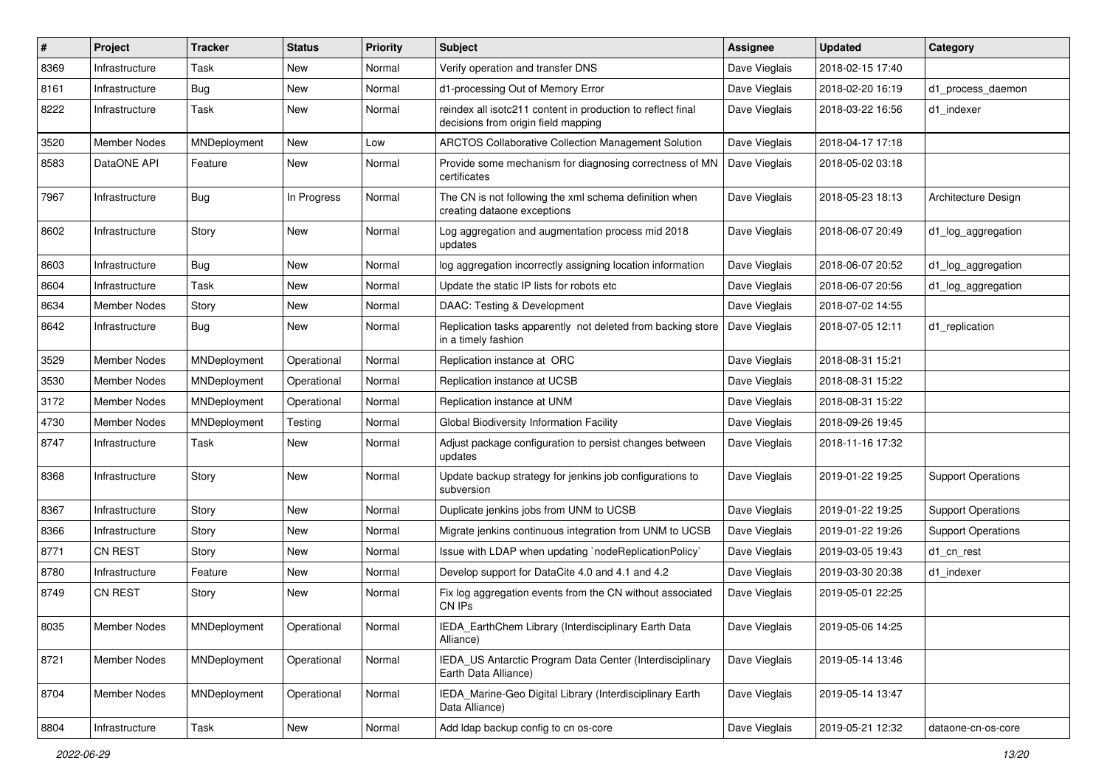| #    | Project             | <b>Tracker</b> | <b>Status</b> | <b>Priority</b> | <b>Subject</b>                                                                                     | <b>Assignee</b> | <b>Updated</b>   | Category                  |
|------|---------------------|----------------|---------------|-----------------|----------------------------------------------------------------------------------------------------|-----------------|------------------|---------------------------|
| 8369 | Infrastructure      | Task           | <b>New</b>    | Normal          | Verify operation and transfer DNS                                                                  | Dave Vieglais   | 2018-02-15 17:40 |                           |
| 8161 | Infrastructure      | <b>Bug</b>     | <b>New</b>    | Normal          | d1-processing Out of Memory Error                                                                  | Dave Vieglais   | 2018-02-20 16:19 | d1 process daemon         |
| 8222 | Infrastructure      | Task           | New           | Normal          | reindex all isotc211 content in production to reflect final<br>decisions from origin field mapping | Dave Vieglais   | 2018-03-22 16:56 | d1 indexer                |
| 3520 | <b>Member Nodes</b> | MNDeployment   | New           | Low             | ARCTOS Collaborative Collection Management Solution                                                | Dave Vieglais   | 2018-04-17 17:18 |                           |
| 8583 | DataONE API         | Feature        | New           | Normal          | Provide some mechanism for diagnosing correctness of MN<br>certificates                            | Dave Vieglais   | 2018-05-02 03:18 |                           |
| 7967 | Infrastructure      | Bug            | In Progress   | Normal          | The CN is not following the xml schema definition when<br>creating dataone exceptions              | Dave Vieglais   | 2018-05-23 18:13 | Architecture Design       |
| 8602 | Infrastructure      | Story          | New           | Normal          | Log aggregation and augmentation process mid 2018<br>updates                                       | Dave Vieglais   | 2018-06-07 20:49 | d1_log_aggregation        |
| 8603 | Infrastructure      | <b>Bug</b>     | <b>New</b>    | Normal          | log aggregation incorrectly assigning location information                                         | Dave Vieglais   | 2018-06-07 20:52 | d1_log_aggregation        |
| 8604 | Infrastructure      | Task           | <b>New</b>    | Normal          | Update the static IP lists for robots etc                                                          | Dave Vieglais   | 2018-06-07 20:56 | d1_log_aggregation        |
| 8634 | Member Nodes        | Story          | New           | Normal          | DAAC: Testing & Development                                                                        | Dave Vieglais   | 2018-07-02 14:55 |                           |
| 8642 | Infrastructure      | Bug            | <b>New</b>    | Normal          | Replication tasks apparently not deleted from backing store<br>in a timely fashion                 | Dave Vieglais   | 2018-07-05 12:11 | d1_replication            |
| 3529 | <b>Member Nodes</b> | MNDeployment   | Operational   | Normal          | Replication instance at ORC                                                                        | Dave Vieglais   | 2018-08-31 15:21 |                           |
| 3530 | <b>Member Nodes</b> | MNDeployment   | Operational   | Normal          | Replication instance at UCSB                                                                       | Dave Vieglais   | 2018-08-31 15:22 |                           |
| 3172 | <b>Member Nodes</b> | MNDeployment   | Operational   | Normal          | Replication instance at UNM                                                                        | Dave Vieglais   | 2018-08-31 15:22 |                           |
| 4730 | <b>Member Nodes</b> | MNDeployment   | Testing       | Normal          | Global Biodiversity Information Facility                                                           | Dave Vieglais   | 2018-09-26 19:45 |                           |
| 8747 | Infrastructure      | Task           | New           | Normal          | Adjust package configuration to persist changes between<br>updates                                 | Dave Vieglais   | 2018-11-16 17:32 |                           |
| 8368 | Infrastructure      | Story          | <b>New</b>    | Normal          | Update backup strategy for jenkins job configurations to<br>subversion                             | Dave Vieglais   | 2019-01-22 19:25 | <b>Support Operations</b> |
| 8367 | Infrastructure      | Story          | <b>New</b>    | Normal          | Duplicate jenkins jobs from UNM to UCSB                                                            | Dave Vieglais   | 2019-01-22 19:25 | <b>Support Operations</b> |
| 8366 | Infrastructure      | Story          | <b>New</b>    | Normal          | Migrate jenkins continuous integration from UNM to UCSB                                            | Dave Vieglais   | 2019-01-22 19:26 | <b>Support Operations</b> |
| 8771 | CN REST             | Story          | New           | Normal          | Issue with LDAP when updating `nodeReplicationPolicy`                                              | Dave Vieglais   | 2019-03-05 19:43 | d1_cn_rest                |
| 8780 | Infrastructure      | Feature        | New           | Normal          | Develop support for DataCite 4.0 and 4.1 and 4.2                                                   | Dave Vieglais   | 2019-03-30 20:38 | d1 indexer                |
| 8749 | <b>CN REST</b>      | Story          | <b>New</b>    | Normal          | Fix log aggregation events from the CN without associated<br>CN IPs                                | Dave Vieglais   | 2019-05-01 22:25 |                           |
| 8035 | Member Nodes        | MNDeployment   | Operational   | Normal          | IEDA_EarthChem Library (Interdisciplinary Earth Data<br>Alliance)                                  | Dave Vieglais   | 2019-05-06 14:25 |                           |
| 8721 | Member Nodes        | MNDeployment   | Operational   | Normal          | IEDA_US Antarctic Program Data Center (Interdisciplinary<br>Earth Data Alliance)                   | Dave Vieglais   | 2019-05-14 13:46 |                           |
| 8704 | Member Nodes        | MNDeployment   | Operational   | Normal          | IEDA_Marine-Geo Digital Library (Interdisciplinary Earth<br>Data Alliance)                         | Dave Vieglais   | 2019-05-14 13:47 |                           |
| 8804 | Infrastructure      | Task           | New           | Normal          | Add Idap backup config to cn os-core                                                               | Dave Vieglais   | 2019-05-21 12:32 | dataone-cn-os-core        |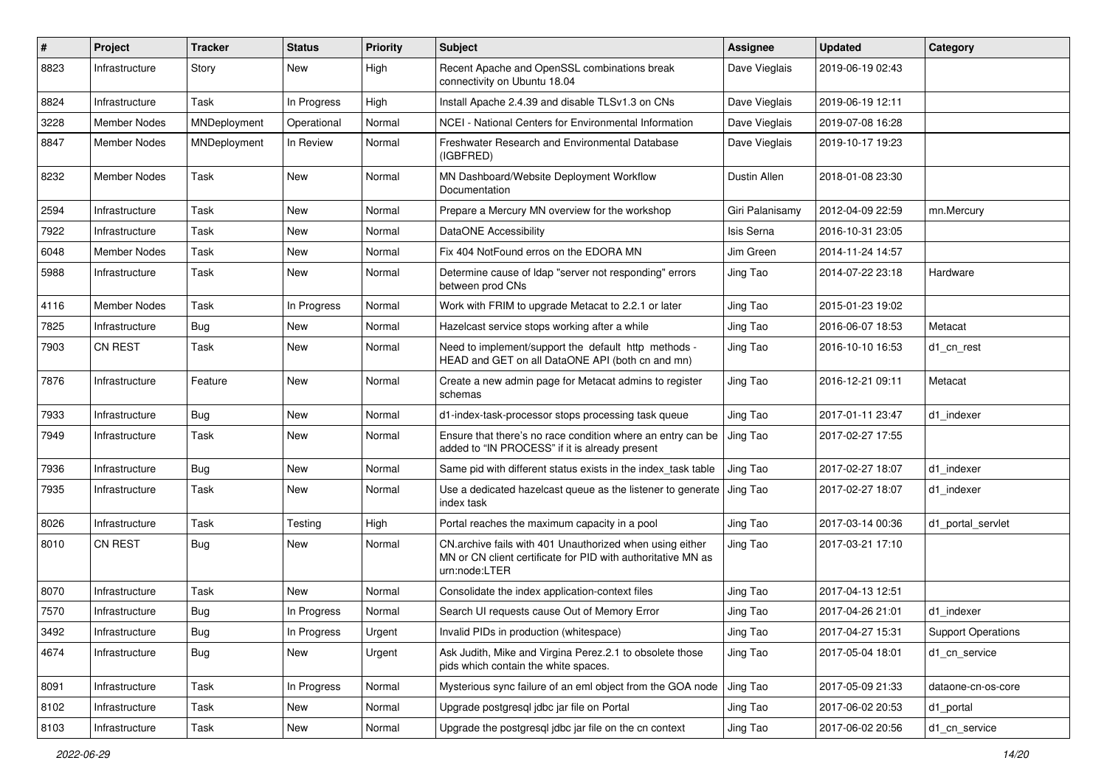| $\sharp$ | Project             | <b>Tracker</b> | <b>Status</b> | <b>Priority</b> | <b>Subject</b>                                                                                                                            | <b>Assignee</b> | <b>Updated</b>   | Category                  |
|----------|---------------------|----------------|---------------|-----------------|-------------------------------------------------------------------------------------------------------------------------------------------|-----------------|------------------|---------------------------|
| 8823     | Infrastructure      | Story          | New           | High            | Recent Apache and OpenSSL combinations break<br>connectivity on Ubuntu 18.04                                                              | Dave Vieglais   | 2019-06-19 02:43 |                           |
| 8824     | Infrastructure      | Task           | In Progress   | High            | Install Apache 2.4.39 and disable TLSv1.3 on CNs                                                                                          | Dave Vieglais   | 2019-06-19 12:11 |                           |
| 3228     | Member Nodes        | MNDeployment   | Operational   | Normal          | NCEI - National Centers for Environmental Information                                                                                     | Dave Vieglais   | 2019-07-08 16:28 |                           |
| 8847     | Member Nodes        | MNDeployment   | In Review     | Normal          | Freshwater Research and Environmental Database<br>(IGBFRED)                                                                               | Dave Vieglais   | 2019-10-17 19:23 |                           |
| 8232     | <b>Member Nodes</b> | Task           | New           | Normal          | MN Dashboard/Website Deployment Workflow<br>Documentation                                                                                 | Dustin Allen    | 2018-01-08 23:30 |                           |
| 2594     | Infrastructure      | Task           | <b>New</b>    | Normal          | Prepare a Mercury MN overview for the workshop                                                                                            | Giri Palanisamy | 2012-04-09 22:59 | mn.Mercury                |
| 7922     | Infrastructure      | Task           | New           | Normal          | DataONE Accessibility                                                                                                                     | Isis Serna      | 2016-10-31 23:05 |                           |
| 6048     | Member Nodes        | Task           | New           | Normal          | Fix 404 NotFound erros on the EDORA MN                                                                                                    | Jim Green       | 2014-11-24 14:57 |                           |
| 5988     | Infrastructure      | Task           | New           | Normal          | Determine cause of Idap "server not responding" errors<br>between prod CNs                                                                | Jing Tao        | 2014-07-22 23:18 | Hardware                  |
| 4116     | <b>Member Nodes</b> | Task           | In Progress   | Normal          | Work with FRIM to upgrade Metacat to 2.2.1 or later                                                                                       | Jing Tao        | 2015-01-23 19:02 |                           |
| 7825     | Infrastructure      | <b>Bug</b>     | <b>New</b>    | Normal          | Hazelcast service stops working after a while                                                                                             | Jing Tao        | 2016-06-07 18:53 | Metacat                   |
| 7903     | <b>CN REST</b>      | Task           | New           | Normal          | Need to implement/support the default http methods -<br>HEAD and GET on all DataONE API (both cn and mn)                                  | Jing Tao        | 2016-10-10 16:53 | d1_cn_rest                |
| 7876     | Infrastructure      | Feature        | New           | Normal          | Create a new admin page for Metacat admins to register<br>schemas                                                                         | Jing Tao        | 2016-12-21 09:11 | Metacat                   |
| 7933     | Infrastructure      | Bug            | New           | Normal          | d1-index-task-processor stops processing task queue                                                                                       | Jing Tao        | 2017-01-11 23:47 | d1_indexer                |
| 7949     | Infrastructure      | Task           | New           | Normal          | Ensure that there's no race condition where an entry can be<br>added to "IN PROCESS" if it is already present                             | Jing Tao        | 2017-02-27 17:55 |                           |
| 7936     | Infrastructure      | <b>Bug</b>     | New           | Normal          | Same pid with different status exists in the index_task table                                                                             | Jing Tao        | 2017-02-27 18:07 | d1_indexer                |
| 7935     | Infrastructure      | Task           | New           | Normal          | Use a dedicated hazelcast queue as the listener to generate<br>index task                                                                 | Jing Tao        | 2017-02-27 18:07 | d1 indexer                |
| 8026     | Infrastructure      | Task           | Testing       | High            | Portal reaches the maximum capacity in a pool                                                                                             | Jing Tao        | 2017-03-14 00:36 | d1 portal servlet         |
| 8010     | <b>CN REST</b>      | Bug            | New           | Normal          | CN.archive fails with 401 Unauthorized when using either<br>MN or CN client certificate for PID with authoritative MN as<br>urn:node:LTER | Jing Tao        | 2017-03-21 17:10 |                           |
| 8070     | Infrastructure      | Task           | <b>New</b>    | Normal          | Consolidate the index application-context files                                                                                           | Jing Tao        | 2017-04-13 12:51 |                           |
| 7570     | Infrastructure      | Bug            | In Progress   | Normal          | Search UI requests cause Out of Memory Error                                                                                              | Jing Tao        | 2017-04-26 21:01 | d1_indexer                |
| 3492     | Infrastructure      | Bug            | In Progress   | Urgent          | Invalid PIDs in production (whitespace)                                                                                                   | Jing Tao        | 2017-04-27 15:31 | <b>Support Operations</b> |
| 4674     | Infrastructure      | <b>Bug</b>     | New           | Urgent          | Ask Judith, Mike and Virgina Perez.2.1 to obsolete those<br>pids which contain the white spaces.                                          | Jing Tao        | 2017-05-04 18:01 | d1_cn_service             |
| 8091     | Infrastructure      | Task           | In Progress   | Normal          | Mysterious sync failure of an eml object from the GOA node                                                                                | Jing Tao        | 2017-05-09 21:33 | dataone-cn-os-core        |
| 8102     | Infrastructure      | Task           | New           | Normal          | Upgrade postgresql jdbc jar file on Portal                                                                                                | Jing Tao        | 2017-06-02 20:53 | d1_portal                 |
| 8103     | Infrastructure      | Task           | New           | Normal          | Upgrade the postgresql jdbc jar file on the cn context                                                                                    | Jing Tao        | 2017-06-02 20:56 | d1_cn_service             |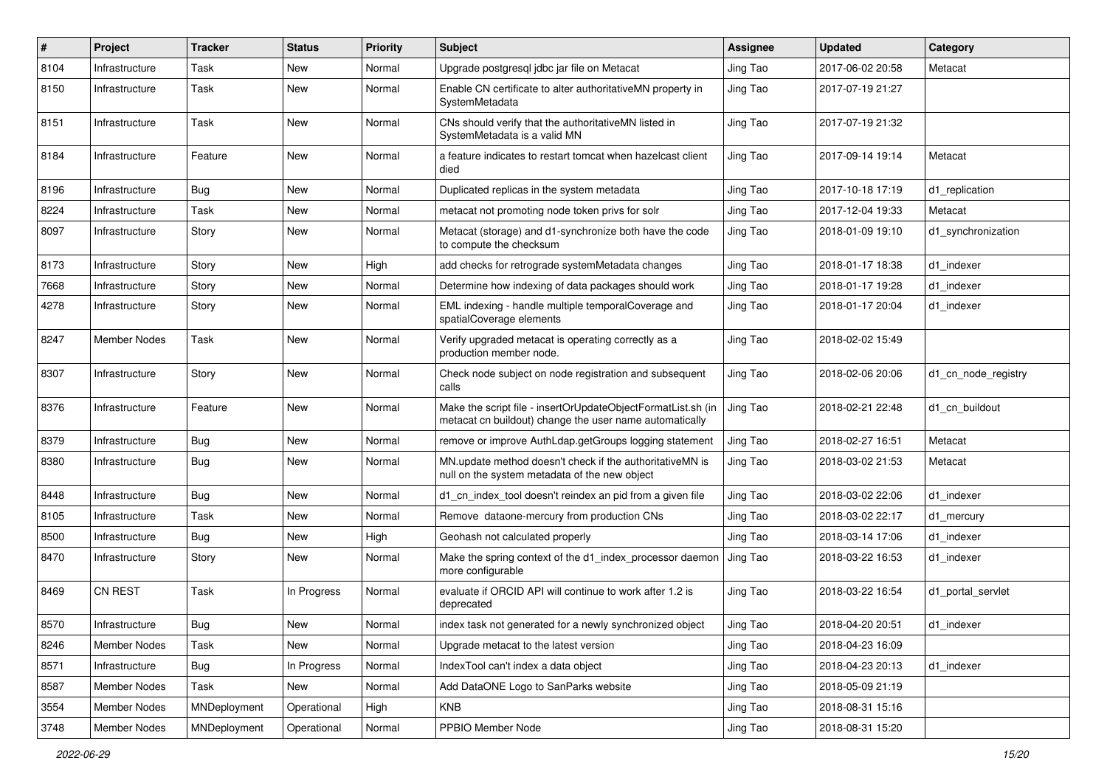| #    | Project             | <b>Tracker</b> | <b>Status</b> | <b>Priority</b> | <b>Subject</b>                                                                                                          | <b>Assignee</b> | <b>Updated</b>   | Category            |
|------|---------------------|----------------|---------------|-----------------|-------------------------------------------------------------------------------------------------------------------------|-----------------|------------------|---------------------|
| 8104 | Infrastructure      | Task           | <b>New</b>    | Normal          | Upgrade postgresql jdbc jar file on Metacat                                                                             | Jing Tao        | 2017-06-02 20:58 | Metacat             |
| 8150 | Infrastructure      | Task           | New           | Normal          | Enable CN certificate to alter authoritativeMN property in<br>SystemMetadata                                            | Jing Tao        | 2017-07-19 21:27 |                     |
| 8151 | Infrastructure      | Task           | <b>New</b>    | Normal          | CNs should verify that the authoritativeMN listed in<br>SystemMetadata is a valid MN                                    | Jing Tao        | 2017-07-19 21:32 |                     |
| 8184 | Infrastructure      | Feature        | <b>New</b>    | Normal          | a feature indicates to restart tomcat when hazelcast client<br>died                                                     | Jing Tao        | 2017-09-14 19:14 | Metacat             |
| 8196 | Infrastructure      | Bug            | <b>New</b>    | Normal          | Duplicated replicas in the system metadata                                                                              | Jing Tao        | 2017-10-18 17:19 | d1_replication      |
| 8224 | Infrastructure      | Task           | <b>New</b>    | Normal          | metacat not promoting node token privs for solr                                                                         | Jing Tao        | 2017-12-04 19:33 | Metacat             |
| 8097 | Infrastructure      | Story          | New           | Normal          | Metacat (storage) and d1-synchronize both have the code<br>to compute the checksum                                      | Jing Tao        | 2018-01-09 19:10 | d1 synchronization  |
| 8173 | Infrastructure      | Story          | <b>New</b>    | High            | add checks for retrograde systemMetadata changes                                                                        | Jing Tao        | 2018-01-17 18:38 | d1_indexer          |
| 7668 | Infrastructure      | Story          | <b>New</b>    | Normal          | Determine how indexing of data packages should work                                                                     | Jing Tao        | 2018-01-17 19:28 | d1_indexer          |
| 4278 | Infrastructure      | Story          | <b>New</b>    | Normal          | EML indexing - handle multiple temporalCoverage and<br>spatialCoverage elements                                         | Jing Tao        | 2018-01-17 20:04 | d1 indexer          |
| 8247 | <b>Member Nodes</b> | Task           | New           | Normal          | Verify upgraded metacat is operating correctly as a<br>production member node.                                          | Jing Tao        | 2018-02-02 15:49 |                     |
| 8307 | Infrastructure      | Story          | <b>New</b>    | Normal          | Check node subject on node registration and subsequent<br>calls                                                         | Jing Tao        | 2018-02-06 20:06 | d1_cn_node_registry |
| 8376 | Infrastructure      | Feature        | <b>New</b>    | Normal          | Make the script file - insertOrUpdateObjectFormatList.sh (in<br>metacat cn buildout) change the user name automatically | Jing Tao        | 2018-02-21 22:48 | d1_cn_buildout      |
| 8379 | Infrastructure      | <b>Bug</b>     | <b>New</b>    | Normal          | remove or improve AuthLdap.getGroups logging statement                                                                  | Jing Tao        | 2018-02-27 16:51 | Metacat             |
| 8380 | Infrastructure      | Bug            | New           | Normal          | MN.update method doesn't check if the authoritativeMN is<br>null on the system metadata of the new object               | Jing Tao        | 2018-03-02 21:53 | Metacat             |
| 8448 | Infrastructure      | <b>Bug</b>     | New           | Normal          | d1_cn_index_tool doesn't reindex an pid from a given file                                                               | Jing Tao        | 2018-03-02 22:06 | d1_indexer          |
| 8105 | Infrastructure      | Task           | <b>New</b>    | Normal          | Remove dataone-mercury from production CNs                                                                              | Jing Tao        | 2018-03-02 22:17 | d1_mercury          |
| 8500 | Infrastructure      | Bug            | New           | High            | Geohash not calculated properly                                                                                         | Jing Tao        | 2018-03-14 17:06 | d1 indexer          |
| 8470 | Infrastructure      | Story          | <b>New</b>    | Normal          | Make the spring context of the d1_index_processor daemon<br>more configurable                                           | Jing Tao        | 2018-03-22 16:53 | d1 indexer          |
| 8469 | CN REST             | Task           | In Progress   | Normal          | evaluate if ORCID API will continue to work after 1.2 is<br>deprecated                                                  | Jing Tao        | 2018-03-22 16:54 | d1_portal_servlet   |
| 8570 | Infrastructure      | Bug            | New           | Normal          | index task not generated for a newly synchronized object                                                                | Jing Tao        | 2018-04-20 20:51 | d1_indexer          |
| 8246 | Member Nodes        | Task           | New           | Normal          | Upgrade metacat to the latest version                                                                                   | Jing Tao        | 2018-04-23 16:09 |                     |
| 8571 | Infrastructure      | <b>Bug</b>     | In Progress   | Normal          | IndexTool can't index a data object                                                                                     | Jing Tao        | 2018-04-23 20:13 | d1_indexer          |
| 8587 | Member Nodes        | Task           | New           | Normal          | Add DataONE Logo to SanParks website                                                                                    | Jing Tao        | 2018-05-09 21:19 |                     |
| 3554 | Member Nodes        | MNDeployment   | Operational   | High            | <b>KNB</b>                                                                                                              | Jing Tao        | 2018-08-31 15:16 |                     |
| 3748 | Member Nodes        | MNDeployment   | Operational   | Normal          | PPBIO Member Node                                                                                                       | Jing Tao        | 2018-08-31 15:20 |                     |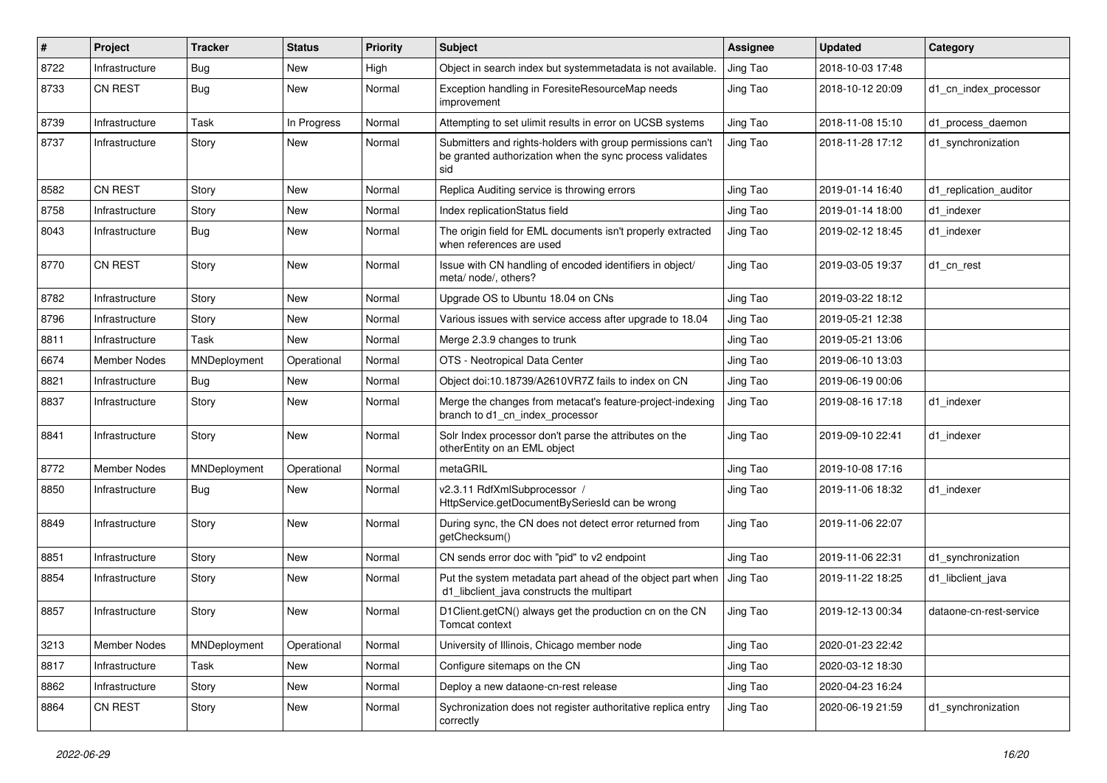| #    | Project             | <b>Tracker</b> | <b>Status</b> | <b>Priority</b> | <b>Subject</b>                                                                                                                | <b>Assignee</b> | <b>Updated</b>   | Category                |
|------|---------------------|----------------|---------------|-----------------|-------------------------------------------------------------------------------------------------------------------------------|-----------------|------------------|-------------------------|
| 8722 | Infrastructure      | Bug            | New           | High            | Object in search index but systemmetadata is not available.                                                                   | Jing Tao        | 2018-10-03 17:48 |                         |
| 8733 | CN REST             | <b>Bug</b>     | New           | Normal          | Exception handling in ForesiteResourceMap needs<br>improvement                                                                | Jing Tao        | 2018-10-12 20:09 | d1 cn index processor   |
| 8739 | Infrastructure      | Task           | In Progress   | Normal          | Attempting to set ulimit results in error on UCSB systems                                                                     | Jing Tao        | 2018-11-08 15:10 | d1 process daemon       |
| 8737 | Infrastructure      | Story          | <b>New</b>    | Normal          | Submitters and rights-holders with group permissions can't<br>be granted authorization when the sync process validates<br>sid | Jing Tao        | 2018-11-28 17:12 | d1 synchronization      |
| 8582 | CN REST             | Story          | <b>New</b>    | Normal          | Replica Auditing service is throwing errors                                                                                   | Jing Tao        | 2019-01-14 16:40 | d1_replication_auditor  |
| 8758 | Infrastructure      | Story          | New           | Normal          | Index replicationStatus field                                                                                                 | Jing Tao        | 2019-01-14 18:00 | d1 indexer              |
| 8043 | Infrastructure      | <b>Bug</b>     | New           | Normal          | The origin field for EML documents isn't properly extracted<br>when references are used                                       | Jing Tao        | 2019-02-12 18:45 | d1 indexer              |
| 8770 | <b>CN REST</b>      | Story          | <b>New</b>    | Normal          | Issue with CN handling of encoded identifiers in object/<br>meta/ node/, others?                                              | Jing Tao        | 2019-03-05 19:37 | d1_cn_rest              |
| 8782 | Infrastructure      | Story          | <b>New</b>    | Normal          | Upgrade OS to Ubuntu 18.04 on CNs                                                                                             | Jing Tao        | 2019-03-22 18:12 |                         |
| 8796 | Infrastructure      | Story          | New           | Normal          | Various issues with service access after upgrade to 18.04                                                                     | Jing Tao        | 2019-05-21 12:38 |                         |
| 8811 | Infrastructure      | Task           | <b>New</b>    | Normal          | Merge 2.3.9 changes to trunk                                                                                                  | Jing Tao        | 2019-05-21 13:06 |                         |
| 6674 | <b>Member Nodes</b> | MNDeployment   | Operational   | Normal          | OTS - Neotropical Data Center                                                                                                 | Jing Tao        | 2019-06-10 13:03 |                         |
| 8821 | Infrastructure      | Bug            | <b>New</b>    | Normal          | Object doi:10.18739/A2610VR7Z fails to index on CN                                                                            | Jing Tao        | 2019-06-19 00:06 |                         |
| 8837 | Infrastructure      | Story          | New           | Normal          | Merge the changes from metacat's feature-project-indexing<br>branch to d1 cn index processor                                  | Jing Tao        | 2019-08-16 17:18 | d1_indexer              |
| 8841 | Infrastructure      | Story          | New           | Normal          | Solr Index processor don't parse the attributes on the<br>otherEntity on an EML object                                        | Jing Tao        | 2019-09-10 22:41 | d1_indexer              |
| 8772 | Member Nodes        | MNDeployment   | Operational   | Normal          | metaGRIL                                                                                                                      | Jing Tao        | 2019-10-08 17:16 |                         |
| 8850 | Infrastructure      | Bug            | <b>New</b>    | Normal          | v2.3.11 RdfXmlSubprocessor /<br>HttpService.getDocumentBySeriesId can be wrong                                                | Jing Tao        | 2019-11-06 18:32 | d1_indexer              |
| 8849 | Infrastructure      | Story          | New           | Normal          | During sync, the CN does not detect error returned from<br>getChecksum()                                                      | Jing Tao        | 2019-11-06 22:07 |                         |
| 8851 | Infrastructure      | Story          | <b>New</b>    | Normal          | CN sends error doc with "pid" to v2 endpoint                                                                                  | Jing Tao        | 2019-11-06 22:31 | d1 synchronization      |
| 8854 | Infrastructure      | Story          | New           | Normal          | Put the system metadata part ahead of the object part when<br>d1 libclient java constructs the multipart                      | Jing Tao        | 2019-11-22 18:25 | d1 libclient java       |
| 8857 | Infrastructure      | Story          | <b>New</b>    | Normal          | D1Client.getCN() always get the production cn on the CN<br>Tomcat context                                                     | Jing Tao        | 2019-12-13 00:34 | dataone-cn-rest-service |
| 3213 | <b>Member Nodes</b> | MNDeployment   | Operational   | Normal          | University of Illinois, Chicago member node                                                                                   | Jing Tao        | 2020-01-23 22:42 |                         |
| 8817 | Infrastructure      | Task           | New           | Normal          | Configure sitemaps on the CN                                                                                                  | Jing Tao        | 2020-03-12 18:30 |                         |
| 8862 | Infrastructure      | Story          | New           | Normal          | Deploy a new dataone-cn-rest release                                                                                          | Jing Tao        | 2020-04-23 16:24 |                         |
| 8864 | CN REST             | Story          | New           | Normal          | Sychronization does not register authoritative replica entry<br>correctly                                                     | Jing Tao        | 2020-06-19 21:59 | d1_synchronization      |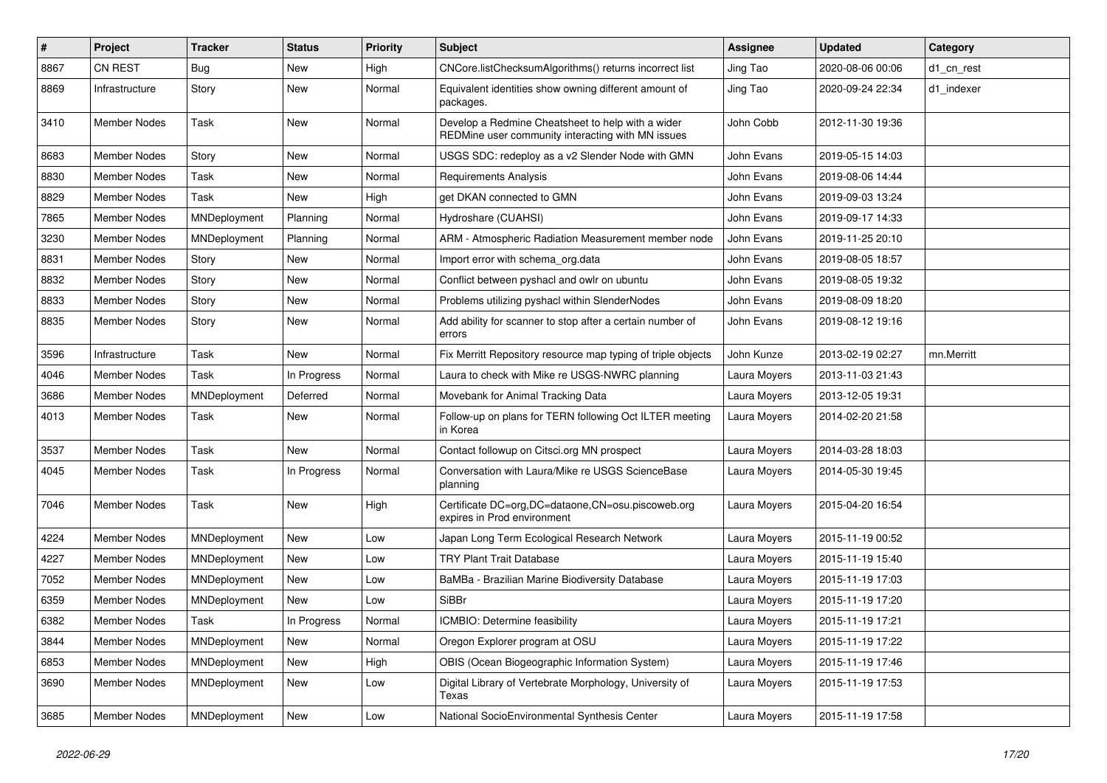| #    | <b>Project</b>      | <b>Tracker</b> | <b>Status</b> | <b>Priority</b> | Subject                                                                                                | <b>Assignee</b> | <b>Updated</b>   | Category   |
|------|---------------------|----------------|---------------|-----------------|--------------------------------------------------------------------------------------------------------|-----------------|------------------|------------|
| 8867 | CN REST             | Bug            | New           | High            | CNCore.listChecksumAlgorithms() returns incorrect list                                                 | Jing Tao        | 2020-08-06 00:06 | d1 cn rest |
| 8869 | Infrastructure      | Story          | <b>New</b>    | Normal          | Equivalent identities show owning different amount of<br>packages.                                     | Jing Tao        | 2020-09-24 22:34 | d1_indexer |
| 3410 | Member Nodes        | Task           | New           | Normal          | Develop a Redmine Cheatsheet to help with a wider<br>REDMine user community interacting with MN issues | John Cobb       | 2012-11-30 19:36 |            |
| 8683 | Member Nodes        | Story          | <b>New</b>    | Normal          | USGS SDC: redeploy as a v2 Slender Node with GMN                                                       | John Evans      | 2019-05-15 14:03 |            |
| 8830 | <b>Member Nodes</b> | Task           | New           | Normal          | <b>Requirements Analysis</b>                                                                           | John Evans      | 2019-08-06 14:44 |            |
| 8829 | Member Nodes        | Task           | New           | High            | get DKAN connected to GMN                                                                              | John Evans      | 2019-09-03 13:24 |            |
| 7865 | Member Nodes        | MNDeployment   | Planning      | Normal          | Hydroshare (CUAHSI)                                                                                    | John Evans      | 2019-09-17 14:33 |            |
| 3230 | <b>Member Nodes</b> | MNDeployment   | Planning      | Normal          | ARM - Atmospheric Radiation Measurement member node                                                    | John Evans      | 2019-11-25 20:10 |            |
| 8831 | Member Nodes        | Story          | New           | Normal          | Import error with schema org.data                                                                      | John Evans      | 2019-08-05 18:57 |            |
| 8832 | Member Nodes        | Story          | New           | Normal          | Conflict between pyshacl and owlr on ubuntu                                                            | John Evans      | 2019-08-05 19:32 |            |
| 8833 | Member Nodes        | Story          | New           | Normal          | Problems utilizing pyshacl within SlenderNodes                                                         | John Evans      | 2019-08-09 18:20 |            |
| 8835 | Member Nodes        | Story          | New           | Normal          | Add ability for scanner to stop after a certain number of<br>errors                                    | John Evans      | 2019-08-12 19:16 |            |
| 3596 | Infrastructure      | Task           | New           | Normal          | Fix Merritt Repository resource map typing of triple objects                                           | John Kunze      | 2013-02-19 02:27 | mn.Merritt |
| 4046 | Member Nodes        | Task           | In Progress   | Normal          | Laura to check with Mike re USGS-NWRC planning                                                         | Laura Moyers    | 2013-11-03 21:43 |            |
| 3686 | Member Nodes        | MNDeployment   | Deferred      | Normal          | Movebank for Animal Tracking Data                                                                      | Laura Moyers    | 2013-12-05 19:31 |            |
| 4013 | Member Nodes        | Task           | New           | Normal          | Follow-up on plans for TERN following Oct ILTER meeting<br>in Korea                                    | Laura Moyers    | 2014-02-20 21:58 |            |
| 3537 | Member Nodes        | Task           | New           | Normal          | Contact followup on Citsci.org MN prospect                                                             | Laura Moyers    | 2014-03-28 18:03 |            |
| 4045 | Member Nodes        | Task           | In Progress   | Normal          | Conversation with Laura/Mike re USGS ScienceBase<br>planning                                           | Laura Moyers    | 2014-05-30 19:45 |            |
| 7046 | Member Nodes        | Task           | <b>New</b>    | High            | Certificate DC=org, DC=dataone, CN=osu.piscoweb.org<br>expires in Prod environment                     | Laura Moyers    | 2015-04-20 16:54 |            |
| 4224 | <b>Member Nodes</b> | MNDeployment   | <b>New</b>    | Low             | Japan Long Term Ecological Research Network                                                            | Laura Moyers    | 2015-11-19 00:52 |            |
| 4227 | <b>Member Nodes</b> | MNDeployment   | <b>New</b>    | Low             | <b>TRY Plant Trait Database</b>                                                                        | Laura Moyers    | 2015-11-19 15:40 |            |
| 7052 | <b>Member Nodes</b> | MNDeployment   | New           | Low             | BaMBa - Brazilian Marine Biodiversity Database                                                         | Laura Moyers    | 2015-11-19 17:03 |            |
| 6359 | Member Nodes        | MNDeployment   | <b>New</b>    | Low             | <b>SiBBr</b>                                                                                           | Laura Moyers    | 2015-11-19 17:20 |            |
| 6382 | <b>Member Nodes</b> | Task           | In Progress   | Normal          | ICMBIO: Determine feasibility                                                                          | Laura Moyers    | 2015-11-19 17:21 |            |
| 3844 | Member Nodes        | MNDeployment   | New           | Normal          | Oregon Explorer program at OSU                                                                         | Laura Moyers    | 2015-11-19 17:22 |            |
| 6853 | Member Nodes        | MNDeployment   | New           | High            | OBIS (Ocean Biogeographic Information System)                                                          | Laura Moyers    | 2015-11-19 17:46 |            |
| 3690 | <b>Member Nodes</b> | MNDeployment   | New           | Low             | Digital Library of Vertebrate Morphology, University of<br>Texas                                       | Laura Moyers    | 2015-11-19 17:53 |            |
| 3685 | <b>Member Nodes</b> | MNDeployment   | New           | Low             | National SocioEnvironmental Synthesis Center                                                           | Laura Moyers    | 2015-11-19 17:58 |            |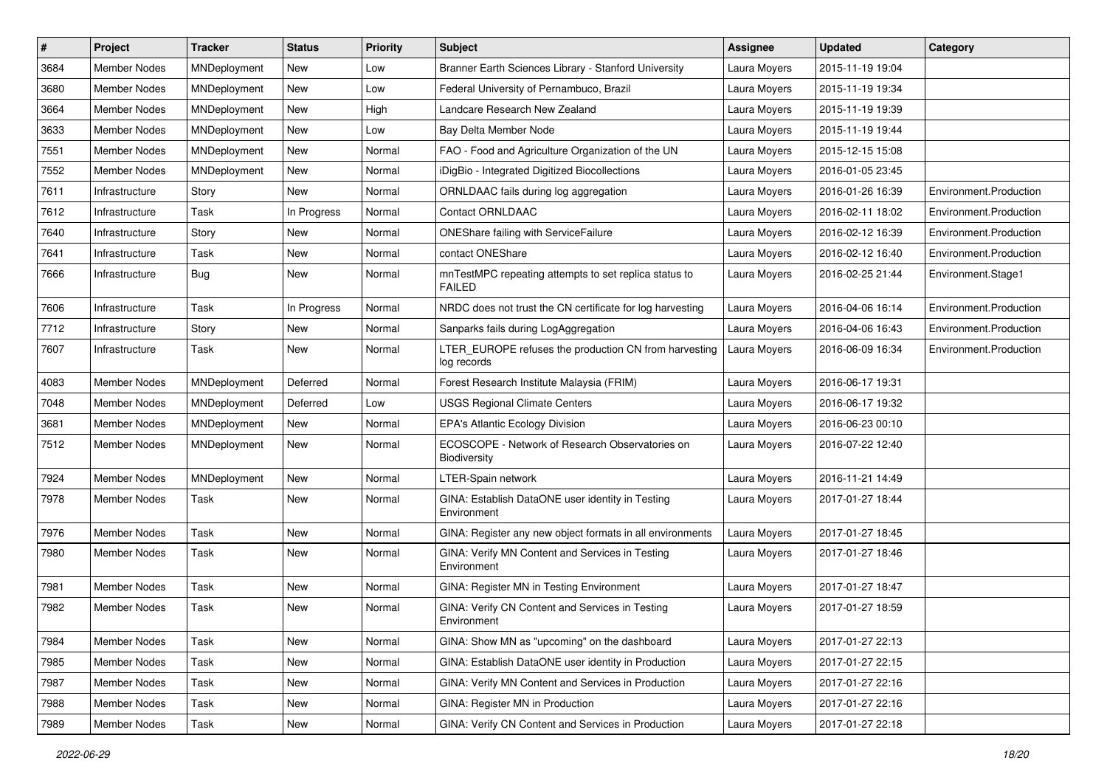| #    | Project             | <b>Tracker</b> | <b>Status</b> | <b>Priority</b> | <b>Subject</b>                                                         | <b>Assignee</b> | <b>Updated</b>   | Category               |
|------|---------------------|----------------|---------------|-----------------|------------------------------------------------------------------------|-----------------|------------------|------------------------|
| 3684 | <b>Member Nodes</b> | MNDeployment   | New           | Low             | Branner Earth Sciences Library - Stanford University                   | Laura Moyers    | 2015-11-19 19:04 |                        |
| 3680 | <b>Member Nodes</b> | MNDeployment   | New           | Low             | Federal University of Pernambuco, Brazil                               | Laura Moyers    | 2015-11-19 19:34 |                        |
| 3664 | <b>Member Nodes</b> | MNDeployment   | New           | High            | Landcare Research New Zealand                                          | Laura Moyers    | 2015-11-19 19:39 |                        |
| 3633 | Member Nodes        | MNDeployment   | New           | Low             | Bay Delta Member Node                                                  | Laura Moyers    | 2015-11-19 19:44 |                        |
| 7551 | <b>Member Nodes</b> | MNDeployment   | New           | Normal          | FAO - Food and Agriculture Organization of the UN                      | Laura Moyers    | 2015-12-15 15:08 |                        |
| 7552 | Member Nodes        | MNDeployment   | New           | Normal          | iDigBio - Integrated Digitized Biocollections                          | Laura Moyers    | 2016-01-05 23:45 |                        |
| 7611 | Infrastructure      | Story          | New           | Normal          | ORNLDAAC fails during log aggregation                                  | Laura Moyers    | 2016-01-26 16:39 | Environment.Production |
| 7612 | Infrastructure      | Task           | In Progress   | Normal          | Contact ORNLDAAC                                                       | Laura Moyers    | 2016-02-11 18:02 | Environment.Production |
| 7640 | Infrastructure      | Story          | New           | Normal          | ONEShare failing with ServiceFailure                                   | Laura Moyers    | 2016-02-12 16:39 | Environment.Production |
| 7641 | Infrastructure      | Task           | <b>New</b>    | Normal          | contact ONEShare                                                       | Laura Moyers    | 2016-02-12 16:40 | Environment.Production |
| 7666 | Infrastructure      | <b>Bug</b>     | New           | Normal          | mnTestMPC repeating attempts to set replica status to<br><b>FAILED</b> | Laura Moyers    | 2016-02-25 21:44 | Environment.Stage1     |
| 7606 | Infrastructure      | Task           | In Progress   | Normal          | NRDC does not trust the CN certificate for log harvesting              | Laura Moyers    | 2016-04-06 16:14 | Environment.Production |
| 7712 | Infrastructure      | Story          | New           | Normal          | Sanparks fails during LogAggregation                                   | Laura Moyers    | 2016-04-06 16:43 | Environment.Production |
| 7607 | Infrastructure      | Task           | New           | Normal          | LTER_EUROPE refuses the production CN from harvesting<br>log records   | Laura Moyers    | 2016-06-09 16:34 | Environment.Production |
| 4083 | <b>Member Nodes</b> | MNDeployment   | Deferred      | Normal          | Forest Research Institute Malaysia (FRIM)                              | Laura Moyers    | 2016-06-17 19:31 |                        |
| 7048 | Member Nodes        | MNDeployment   | Deferred      | Low             | <b>USGS Regional Climate Centers</b>                                   | Laura Moyers    | 2016-06-17 19:32 |                        |
| 3681 | Member Nodes        | MNDeployment   | New           | Normal          | <b>EPA's Atlantic Ecology Division</b>                                 | Laura Moyers    | 2016-06-23 00:10 |                        |
| 7512 | Member Nodes        | MNDeployment   | New           | Normal          | ECOSCOPE - Network of Research Observatories on<br>Biodiversity        | Laura Moyers    | 2016-07-22 12:40 |                        |
| 7924 | <b>Member Nodes</b> | MNDeployment   | New           | Normal          | LTER-Spain network                                                     | Laura Moyers    | 2016-11-21 14:49 |                        |
| 7978 | Member Nodes        | Task           | New           | Normal          | GINA: Establish DataONE user identity in Testing<br>Environment        | Laura Moyers    | 2017-01-27 18:44 |                        |
| 7976 | <b>Member Nodes</b> | Task           | <b>New</b>    | Normal          | GINA: Register any new object formats in all environments              | Laura Moyers    | 2017-01-27 18:45 |                        |
| 7980 | <b>Member Nodes</b> | Task           | <b>New</b>    | Normal          | GINA: Verify MN Content and Services in Testing<br>Environment         | Laura Moyers    | 2017-01-27 18:46 |                        |
| 7981 | Member Nodes        | Task           | New           | Normal          | GINA: Register MN in Testing Environment                               | Laura Moyers    | 2017-01-27 18:47 |                        |
| 7982 | Member Nodes        | Task           | New           | Normal          | GINA: Verify CN Content and Services in Testing<br>Environment         | Laura Moyers    | 2017-01-27 18:59 |                        |
| 7984 | Member Nodes        | Task           | New           | Normal          | GINA: Show MN as "upcoming" on the dashboard                           | Laura Moyers    | 2017-01-27 22:13 |                        |
| 7985 | Member Nodes        | Task           | New           | Normal          | GINA: Establish DataONE user identity in Production                    | Laura Moyers    | 2017-01-27 22:15 |                        |
| 7987 | <b>Member Nodes</b> | Task           | New           | Normal          | GINA: Verify MN Content and Services in Production                     | Laura Moyers    | 2017-01-27 22:16 |                        |
| 7988 | Member Nodes        | Task           | New           | Normal          | GINA: Register MN in Production                                        | Laura Moyers    | 2017-01-27 22:16 |                        |
| 7989 | Member Nodes        | Task           | New           | Normal          | GINA: Verify CN Content and Services in Production                     | Laura Moyers    | 2017-01-27 22:18 |                        |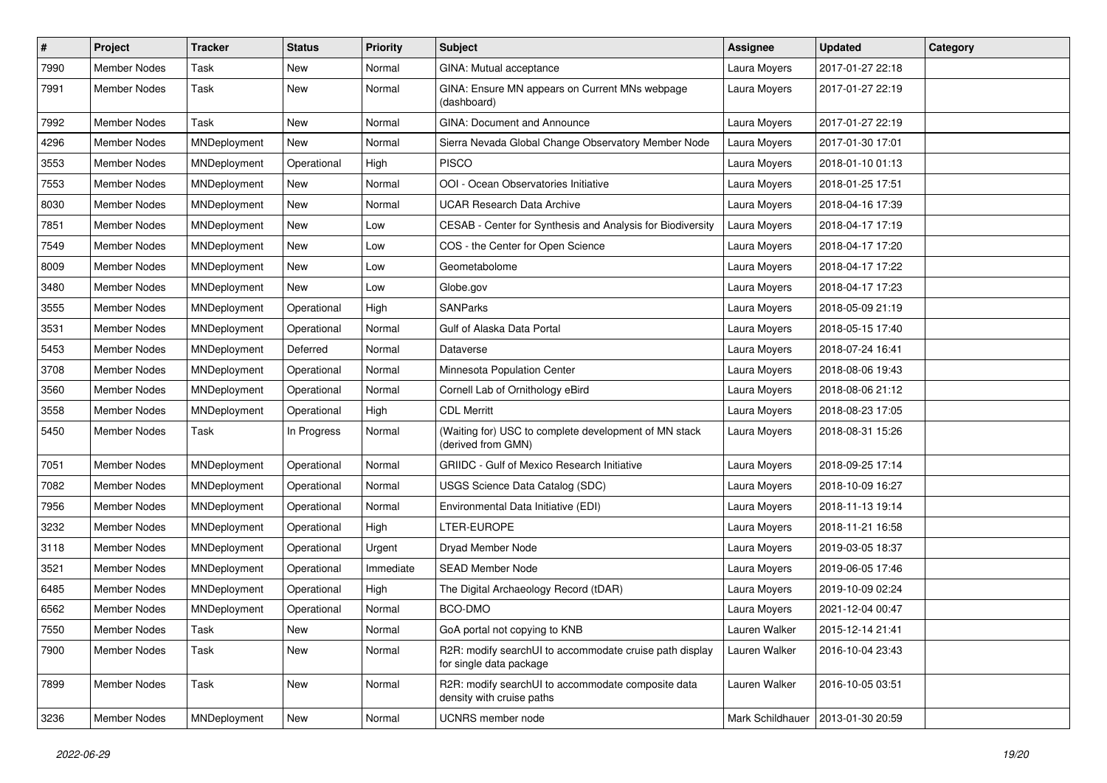| $\pmb{\#}$ | <b>Project</b>      | <b>Tracker</b> | <b>Status</b> | <b>Priority</b> | <b>Subject</b>                                                                     | <b>Assignee</b>                     | <b>Updated</b>   | Category |
|------------|---------------------|----------------|---------------|-----------------|------------------------------------------------------------------------------------|-------------------------------------|------------------|----------|
| 7990       | <b>Member Nodes</b> | Task           | New           | Normal          | GINA: Mutual acceptance                                                            | Laura Moyers                        | 2017-01-27 22:18 |          |
| 7991       | <b>Member Nodes</b> | Task           | New           | Normal          | GINA: Ensure MN appears on Current MNs webpage<br>(dashboard)                      | Laura Moyers                        | 2017-01-27 22:19 |          |
| 7992       | Member Nodes        | Task           | <b>New</b>    | Normal          | GINA: Document and Announce                                                        | Laura Moyers                        | 2017-01-27 22:19 |          |
| 4296       | <b>Member Nodes</b> | MNDeployment   | New           | Normal          | Sierra Nevada Global Change Observatory Member Node                                | Laura Moyers                        | 2017-01-30 17:01 |          |
| 3553       | <b>Member Nodes</b> | MNDeployment   | Operational   | High            | <b>PISCO</b>                                                                       | Laura Moyers                        | 2018-01-10 01:13 |          |
| 7553       | <b>Member Nodes</b> | MNDeployment   | <b>New</b>    | Normal          | OOI - Ocean Observatories Initiative                                               | Laura Moyers                        | 2018-01-25 17:51 |          |
| 8030       | Member Nodes        | MNDeployment   | New           | Normal          | <b>UCAR Research Data Archive</b>                                                  | Laura Moyers                        | 2018-04-16 17:39 |          |
| 7851       | Member Nodes        | MNDeployment   | New           | Low             | CESAB - Center for Synthesis and Analysis for Biodiversity                         | Laura Moyers                        | 2018-04-17 17:19 |          |
| 7549       | <b>Member Nodes</b> | MNDeployment   | <b>New</b>    | Low             | COS - the Center for Open Science                                                  | Laura Moyers                        | 2018-04-17 17:20 |          |
| 8009       | Member Nodes        | MNDeployment   | New           | Low             | Geometabolome                                                                      | Laura Moyers                        | 2018-04-17 17:22 |          |
| 3480       | <b>Member Nodes</b> | MNDeployment   | <b>New</b>    | Low             | Globe.gov                                                                          | Laura Moyers                        | 2018-04-17 17:23 |          |
| 3555       | Member Nodes        | MNDeployment   | Operational   | High            | <b>SANParks</b>                                                                    | Laura Moyers                        | 2018-05-09 21:19 |          |
| 3531       | Member Nodes        | MNDeployment   | Operational   | Normal          | Gulf of Alaska Data Portal                                                         | Laura Moyers                        | 2018-05-15 17:40 |          |
| 5453       | <b>Member Nodes</b> | MNDeployment   | Deferred      | Normal          | Dataverse                                                                          | Laura Moyers                        | 2018-07-24 16:41 |          |
| 3708       | Member Nodes        | MNDeployment   | Operational   | Normal          | Minnesota Population Center                                                        | Laura Moyers                        | 2018-08-06 19:43 |          |
| 3560       | Member Nodes        | MNDeployment   | Operational   | Normal          | Cornell Lab of Ornithology eBird                                                   | Laura Moyers                        | 2018-08-06 21:12 |          |
| 3558       | Member Nodes        | MNDeployment   | Operational   | High            | <b>CDL Merritt</b>                                                                 | Laura Moyers                        | 2018-08-23 17:05 |          |
| 5450       | Member Nodes        | Task           | In Progress   | Normal          | (Waiting for) USC to complete development of MN stack<br>(derived from GMN)        | Laura Moyers                        | 2018-08-31 15:26 |          |
| 7051       | <b>Member Nodes</b> | MNDeployment   | Operational   | Normal          | <b>GRIIDC</b> - Gulf of Mexico Research Initiative                                 | Laura Moyers                        | 2018-09-25 17:14 |          |
| 7082       | Member Nodes        | MNDeployment   | Operational   | Normal          | USGS Science Data Catalog (SDC)                                                    | Laura Moyers                        | 2018-10-09 16:27 |          |
| 7956       | <b>Member Nodes</b> | MNDeployment   | Operational   | Normal          | Environmental Data Initiative (EDI)                                                | Laura Moyers                        | 2018-11-13 19:14 |          |
| 3232       | Member Nodes        | MNDeployment   | Operational   | High            | LTER-EUROPE                                                                        | Laura Moyers                        | 2018-11-21 16:58 |          |
| 3118       | <b>Member Nodes</b> | MNDeployment   | Operational   | Urgent          | Dryad Member Node                                                                  | Laura Moyers                        | 2019-03-05 18:37 |          |
| 3521       | <b>Member Nodes</b> | MNDeployment   | Operational   | Immediate       | <b>SEAD Member Node</b>                                                            | Laura Moyers                        | 2019-06-05 17:46 |          |
| 6485       | <b>Member Nodes</b> | MNDeployment   | Operational   | High            | The Digital Archaeology Record (tDAR)                                              | Laura Moyers                        | 2019-10-09 02:24 |          |
| 6562       | <b>Member Nodes</b> | MNDeployment   | Operational   | Normal          | BCO-DMO                                                                            | Laura Moyers                        | 2021-12-04 00:47 |          |
| 7550       | Member Nodes        | Task           | New           | Normal          | GoA portal not copying to KNB                                                      | Lauren Walker                       | 2015-12-14 21:41 |          |
| 7900       | <b>Member Nodes</b> | Task           | New           | Normal          | R2R: modify searchUI to accommodate cruise path display<br>for single data package | Lauren Walker                       | 2016-10-04 23:43 |          |
| 7899       | Member Nodes        | Task           | New           | Normal          | R2R: modify searchUI to accommodate composite data<br>density with cruise paths    | Lauren Walker                       | 2016-10-05 03:51 |          |
| 3236       | Member Nodes        | MNDeployment   | New           | Normal          | UCNRS member node                                                                  | Mark Schildhauer   2013-01-30 20:59 |                  |          |